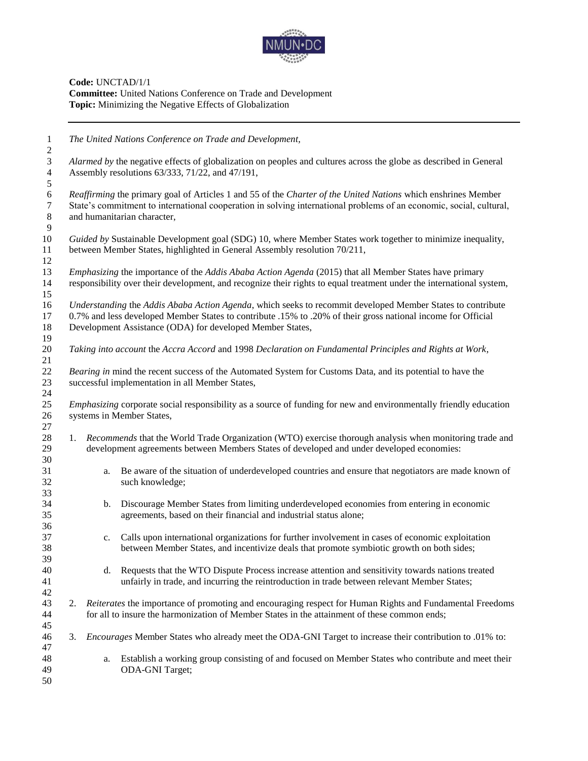

**Code:** UNCTAD/1/1 **Committee:** United Nations Conference on Trade and Development **Topic:** Minimizing the Negative Effects of Globalization

 *The United Nations Conference on Trade and Development, Alarmed by* the negative effects of globalization on peoples and cultures across the globe as described in General Assembly resolutions 63/333, 71/22, and 47/191, *Reaffirming* the primary goal of Articles 1 and 55 of the *Charter of the United Nations* which enshrines Member State's commitment to international cooperation in solving international problems of an economic, social, cultural, and humanitarian character, *Guided by* Sustainable Development goal (SDG) 10, where Member States work together to minimize inequality, between Member States, highlighted in General Assembly resolution 70/211, *Emphasizing* the importance of the *Addis Ababa Action Agenda* (2015) that all Member States have primary responsibility over their development, and recognize their rights to equal treatment under the international system, *Understanding* the *Addis Ababa Action Agenda*, which seeks to recommit developed Member States to contribute 0.7% and less developed Member States to contribute .15% to .20% of their gross national income for Official Development Assistance (ODA) for developed Member States, *Taking into account* the *Accra Accord* and 1998 *Declaration on Fundamental Principles and Rights at Work*, *Bearing in* mind the recent success of the Automated System for Customs Data, and its potential to have the successful implementation in all Member States, *Emphasizing* corporate social responsibility as a source of funding for new and environmentally friendly education systems in Member States, 1. *Recommends* that the World Trade Organization (WTO) exercise thorough analysis when monitoring trade and development agreements between Members States of developed and under developed economies: a. Be aware of the situation of underdeveloped countries and ensure that negotiators are made known of such knowledge; b. Discourage Member States from limiting underdeveloped economies from entering in economic agreements, based on their financial and industrial status alone; c. Calls upon international organizations for further involvement in cases of economic exploitation between Member States, and incentivize deals that promote symbiotic growth on both sides; d. Requests that the WTO Dispute Process increase attention and sensitivity towards nations treated unfairly in trade, and incurring the reintroduction in trade between relevant Member States; 2. *Reiterates* the importance of promoting and encouraging respect for Human Rights and Fundamental Freedoms for all to insure the harmonization of Member States in the attainment of these common ends; 3. *Encourages* Member States who already meet the ODA-GNI Target to increase their contribution to .01% to: a. Establish a working group consisting of and focused on Member States who contribute and meet their ODA-GNI Target;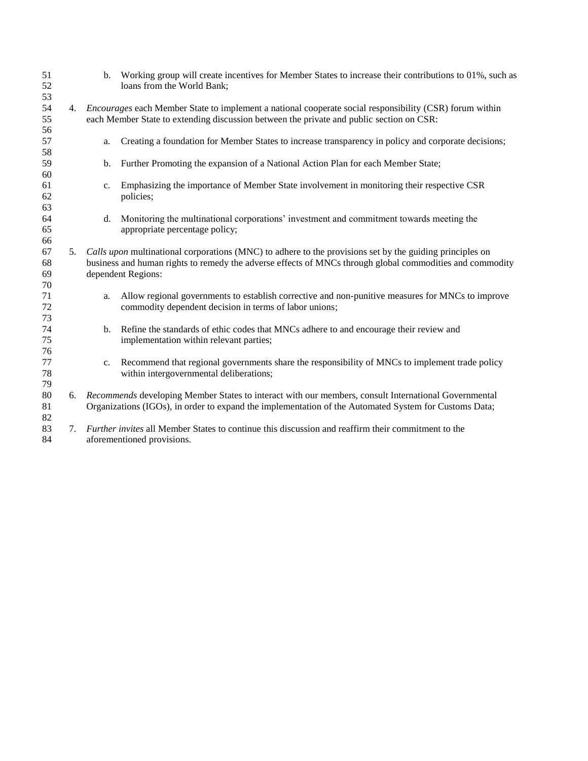| 51<br>52<br>53       |    | $\mathbf{b}$ . | Working group will create incentives for Member States to increase their contributions to 01%, such as<br>loans from the World Bank;                                                                                                       |
|----------------------|----|----------------|--------------------------------------------------------------------------------------------------------------------------------------------------------------------------------------------------------------------------------------------|
| 54                   | 4. |                | <i>Encourages</i> each Member State to implement a national cooperate social responsibility (CSR) forum within                                                                                                                             |
| 55<br>56             |    |                | each Member State to extending discussion between the private and public section on CSR:                                                                                                                                                   |
| 57                   |    | a.             | Creating a foundation for Member States to increase transparency in policy and corporate decisions;                                                                                                                                        |
| 58                   |    |                |                                                                                                                                                                                                                                            |
| 59                   |    | b.             | Further Promoting the expansion of a National Action Plan for each Member State;                                                                                                                                                           |
| 60<br>61<br>62       |    | c.             | Emphasizing the importance of Member State involvement in monitoring their respective CSR<br>policies;                                                                                                                                     |
| 63<br>64<br>65       |    | d.             | Monitoring the multinational corporations' investment and commitment towards meeting the<br>appropriate percentage policy;                                                                                                                 |
| 66<br>67<br>68<br>69 | 5. |                | Calls upon multinational corporations (MNC) to adhere to the provisions set by the guiding principles on<br>business and human rights to remedy the adverse effects of MNCs through global commodities and commodity<br>dependent Regions: |
| 70<br>71<br>72<br>73 |    | a.             | Allow regional governments to establish corrective and non-punitive measures for MNCs to improve<br>commodity dependent decision in terms of labor unions;                                                                                 |
| 74<br>75<br>76       |    | b.             | Refine the standards of ethic codes that MNCs adhere to and encourage their review and<br>implementation within relevant parties;                                                                                                          |
| 77<br>78<br>79       |    | c.             | Recommend that regional governments share the responsibility of MNCs to implement trade policy<br>within intergovernmental deliberations;                                                                                                  |
| 80<br>81<br>82       | 6. |                | Recommends developing Member States to interact with our members, consult International Governmental<br>Organizations (IGOs), in order to expand the implementation of the Automated System for Customs Data;                              |
| 83<br>84             | 7. |                | Further invites all Member States to continue this discussion and reaffirm their commitment to the<br>aforementioned provisions.                                                                                                           |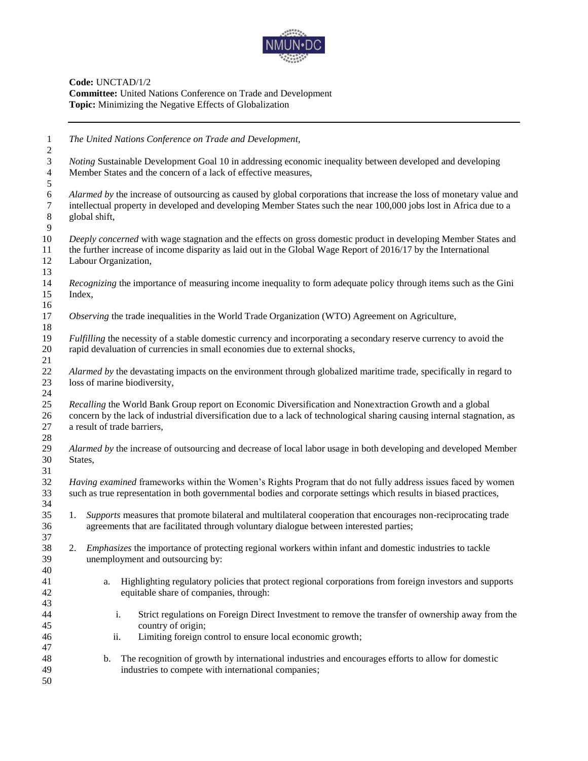

**Code:** UNCTAD/1/2 **Committee:** United Nations Conference on Trade and Development **Topic:** Minimizing the Negative Effects of Globalization

| $\mathbf{1}$<br>$\overline{c}$        | The United Nations Conference on Trade and Development,                                                                                                                                                                                                            |
|---------------------------------------|--------------------------------------------------------------------------------------------------------------------------------------------------------------------------------------------------------------------------------------------------------------------|
| $\mathfrak{Z}$<br>$\overline{4}$<br>5 | <i>Noting</i> Sustainable Development Goal 10 in addressing economic inequality between developed and developing<br>Member States and the concern of a lack of effective measures,                                                                                 |
| 6<br>$\tau$<br>8<br>9                 | Alarmed by the increase of outsourcing as caused by global corporations that increase the loss of monetary value and<br>intellectual property in developed and developing Member States such the near 100,000 jobs lost in Africa due to a<br>global shift,        |
| 10<br>11<br>12<br>13                  | Deeply concerned with wage stagnation and the effects on gross domestic product in developing Member States and<br>the further increase of income disparity as laid out in the Global Wage Report of 2016/17 by the International<br>Labour Organization,          |
| 14<br>15<br>16                        | Recognizing the importance of measuring income inequality to form adequate policy through items such as the Gini<br>Index,                                                                                                                                         |
| 17<br>18                              | Observing the trade inequalities in the World Trade Organization (WTO) Agreement on Agriculture,                                                                                                                                                                   |
| 19<br>20<br>21                        | <i>Fulfilling</i> the necessity of a stable domestic currency and incorporating a secondary reserve currency to avoid the<br>rapid devaluation of currencies in small economies due to external shocks,                                                            |
| $22\,$<br>23<br>24                    | Alarmed by the devastating impacts on the environment through globalized maritime trade, specifically in regard to<br>loss of marine biodiversity,                                                                                                                 |
| 25<br>26<br>27                        | Recalling the World Bank Group report on Economic Diversification and Nonextraction Growth and a global<br>concern by the lack of industrial diversification due to a lack of technological sharing causing internal stagnation, as<br>a result of trade barriers, |
| 28<br>29<br>30<br>31                  | Alarmed by the increase of outsourcing and decrease of local labor usage in both developing and developed Member<br>States,                                                                                                                                        |
| 32<br>33<br>34                        | Having examined frameworks within the Women's Rights Program that do not fully address issues faced by women<br>such as true representation in both governmental bodies and corporate settings which results in biased practices,                                  |
| 35<br>36<br>37                        | Supports measures that promote bilateral and multilateral cooperation that encourages non-reciprocating trade<br>1.<br>agreements that are facilitated through voluntary dialogue between interested parties;                                                      |
| 38<br>39<br>40                        | 2. Emphasizes the importance of protecting regional workers within infant and domestic industries to tackle<br>unemployment and outsourcing by:                                                                                                                    |
| 41<br>42<br>43                        | Highlighting regulatory policies that protect regional corporations from foreign investors and supports<br>a.<br>equitable share of companies, through:                                                                                                            |
| 44<br>45<br>46                        | Strict regulations on Foreign Direct Investment to remove the transfer of ownership away from the<br>i.<br>country of origin;<br>Limiting foreign control to ensure local economic growth;<br>ii.                                                                  |
| 47<br>48<br>49<br>50                  | The recognition of growth by international industries and encourages efforts to allow for domestic<br>$\mathbf b$ .<br>industries to compete with international companies;                                                                                         |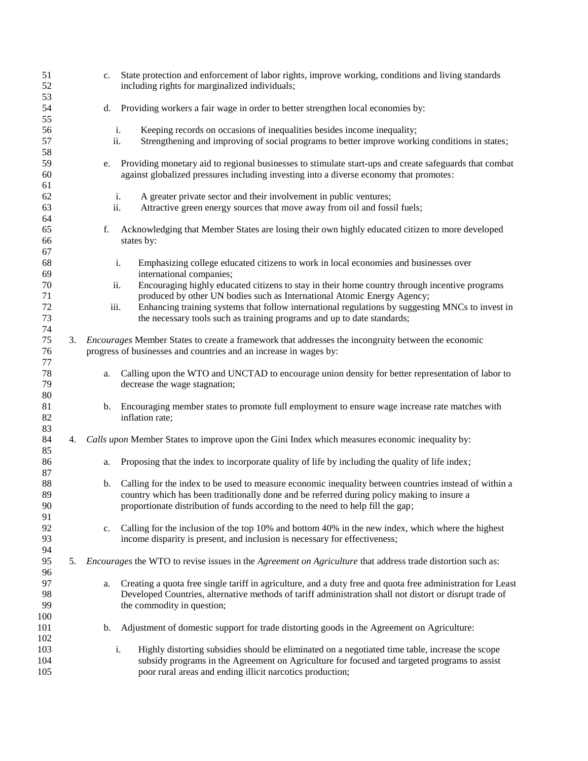| 51<br>52             |    | c.             | State protection and enforcement of labor rights, improve working, conditions and living standards<br>including rights for marginalized individuals;                                                                                                                                   |
|----------------------|----|----------------|----------------------------------------------------------------------------------------------------------------------------------------------------------------------------------------------------------------------------------------------------------------------------------------|
| 53<br>54             |    | d.             | Providing workers a fair wage in order to better strengthen local economies by:                                                                                                                                                                                                        |
| 55<br>56<br>57       |    |                | i.<br>Keeping records on occasions of inequalities besides income inequality;<br>ii.<br>Strengthening and improving of social programs to better improve working conditions in states;                                                                                                 |
| 58<br>59<br>60       |    | e.             | Providing monetary aid to regional businesses to stimulate start-ups and create safeguards that combat<br>against globalized pressures including investing into a diverse economy that promotes:                                                                                       |
| 61<br>62             |    |                | A greater private sector and their involvement in public ventures;<br>i.                                                                                                                                                                                                               |
| 63<br>64             |    |                | ii.<br>Attractive green energy sources that move away from oil and fossil fuels;                                                                                                                                                                                                       |
| 65<br>66<br>67       |    | f.             | Acknowledging that Member States are losing their own highly educated citizen to more developed<br>states by:                                                                                                                                                                          |
| 68<br>69             |    |                | i.<br>Emphasizing college educated citizens to work in local economies and businesses over<br>international companies;                                                                                                                                                                 |
| 70<br>71             |    |                | Encouraging highly educated citizens to stay in their home country through incentive programs<br>ii.<br>produced by other UN bodies such as International Atomic Energy Agency;                                                                                                        |
| 72<br>73<br>74       |    | iii.           | Enhancing training systems that follow international regulations by suggesting MNCs to invest in<br>the necessary tools such as training programs and up to date standards;                                                                                                            |
| 75<br>76             | 3. |                | Encourages Member States to create a framework that addresses the incongruity between the economic<br>progress of businesses and countries and an increase in wages by:                                                                                                                |
| 77<br>78<br>79       |    | a.             | Calling upon the WTO and UNCTAD to encourage union density for better representation of labor to<br>decrease the wage stagnation;                                                                                                                                                      |
| 80<br>81<br>82       |    | b.             | Encouraging member states to promote full employment to ensure wage increase rate matches with<br>inflation rate;                                                                                                                                                                      |
| 83<br>84             | 4. |                | Calls upon Member States to improve upon the Gini Index which measures economic inequality by:                                                                                                                                                                                         |
| 85<br>86<br>87       |    | a.             | Proposing that the index to incorporate quality of life by including the quality of life index;                                                                                                                                                                                        |
| 88<br>89<br>90       |    | b.             | Calling for the index to be used to measure economic inequality between countries instead of within a<br>country which has been traditionally done and be referred during policy making to insure a<br>proportionate distribution of funds according to the need to help fill the gap; |
| 91<br>92<br>93<br>94 |    | $\mathbf{c}$ . | Calling for the inclusion of the top 10% and bottom 40% in the new index, which where the highest<br>income disparity is present, and inclusion is necessary for effectiveness;                                                                                                        |
| 95<br>96             | 5. |                | <i>Encourages</i> the WTO to revise issues in the <i>Agreement on Agriculture</i> that address trade distortion such as:                                                                                                                                                               |
| 97<br>98<br>99       |    | a.             | Creating a quota free single tariff in agriculture, and a duty free and quota free administration for Least<br>Developed Countries, alternative methods of tariff administration shall not distort or disrupt trade of<br>the commodity in question;                                   |
| 100<br>101<br>102    |    | b.             | Adjustment of domestic support for trade distorting goods in the Agreement on Agriculture:                                                                                                                                                                                             |
| 103<br>104<br>105    |    |                | Highly distorting subsidies should be eliminated on a negotiated time table, increase the scope<br>i.<br>subsidy programs in the Agreement on Agriculture for focused and targeted programs to assist<br>poor rural areas and ending illicit narcotics production;                     |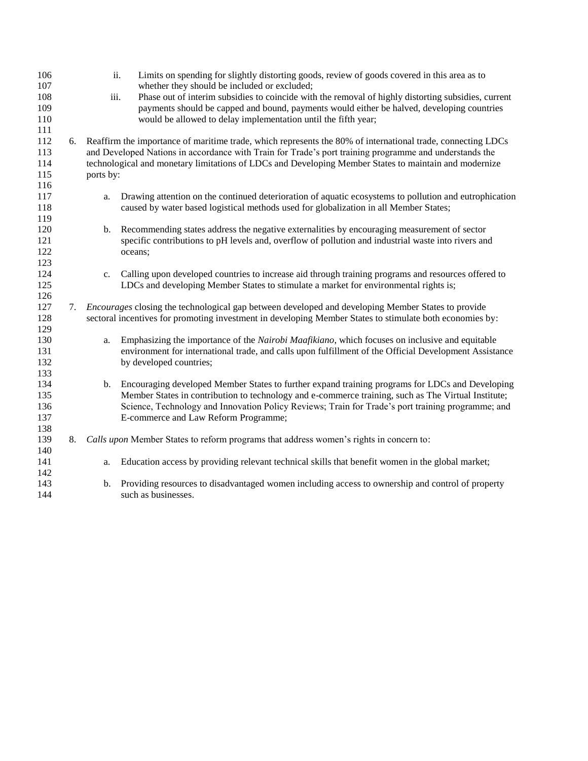| 106<br>107 |    | ii.       | Limits on spending for slightly distorting goods, review of goods covered in this area as to<br>whether they should be included or excluded; |
|------------|----|-----------|----------------------------------------------------------------------------------------------------------------------------------------------|
| 108        |    | iii.      | Phase out of interim subsidies to coincide with the removal of highly distorting subsidies, current                                          |
| 109        |    |           | payments should be capped and bound, payments would either be halved, developing countries                                                   |
| 110<br>111 |    |           | would be allowed to delay implementation until the fifth year;                                                                               |
| 112        |    |           | Reaffirm the importance of maritime trade, which represents the 80% of international trade, connecting LDCs                                  |
| 113        | 6. |           | and Developed Nations in accordance with Train for Trade's port training programme and understands the                                       |
| 114        |    |           | technological and monetary limitations of LDCs and Developing Member States to maintain and modernize                                        |
| 115        |    | ports by: |                                                                                                                                              |
| 116        |    |           |                                                                                                                                              |
| 117        |    | a.        | Drawing attention on the continued deterioration of aquatic ecosystems to pollution and eutrophication                                       |
| 118        |    |           | caused by water based logistical methods used for globalization in all Member States;                                                        |
| 119        |    |           |                                                                                                                                              |
| 120        |    | b.        | Recommending states address the negative externalities by encouraging measurement of sector                                                  |
| 121        |    |           | specific contributions to pH levels and, overflow of pollution and industrial waste into rivers and                                          |
| 122        |    |           | oceans;                                                                                                                                      |
| 123        |    |           |                                                                                                                                              |
| 124        |    | c.        | Calling upon developed countries to increase aid through training programs and resources offered to                                          |
| 125        |    |           | LDCs and developing Member States to stimulate a market for environmental rights is;                                                         |
| 126        |    |           |                                                                                                                                              |
| 127        | 7. |           | <i>Encourages</i> closing the technological gap between developed and developing Member States to provide                                    |
| 128        |    |           | sectoral incentives for promoting investment in developing Member States to stimulate both economies by:                                     |
| 129        |    |           |                                                                                                                                              |
| 130        |    | a.        | Emphasizing the importance of the <i>Nairobi Maafikiano</i> , which focuses on inclusive and equitable                                       |
| 131        |    |           | environment for international trade, and calls upon fulfillment of the Official Development Assistance                                       |
| 132        |    |           | by developed countries;                                                                                                                      |
| 133        |    |           |                                                                                                                                              |
| 134        |    |           | b. Encouraging developed Member States to further expand training programs for LDCs and Developing                                           |
| 135        |    |           | Member States in contribution to technology and e-commerce training, such as The Virtual Institute;                                          |
| 136        |    |           | Science, Technology and Innovation Policy Reviews; Train for Trade's port training programme; and                                            |
| 137<br>138 |    |           | E-commerce and Law Reform Programme;                                                                                                         |
| 139        | 8. |           | Calls upon Member States to reform programs that address women's rights in concern to:                                                       |
| 140        |    |           |                                                                                                                                              |
| 141        |    | a.        | Education access by providing relevant technical skills that benefit women in the global market;                                             |
| 142        |    |           |                                                                                                                                              |
| 143        |    | b.        | Providing resources to disadvantaged women including access to ownership and control of property                                             |
| 144        |    |           | such as businesses.                                                                                                                          |
|            |    |           |                                                                                                                                              |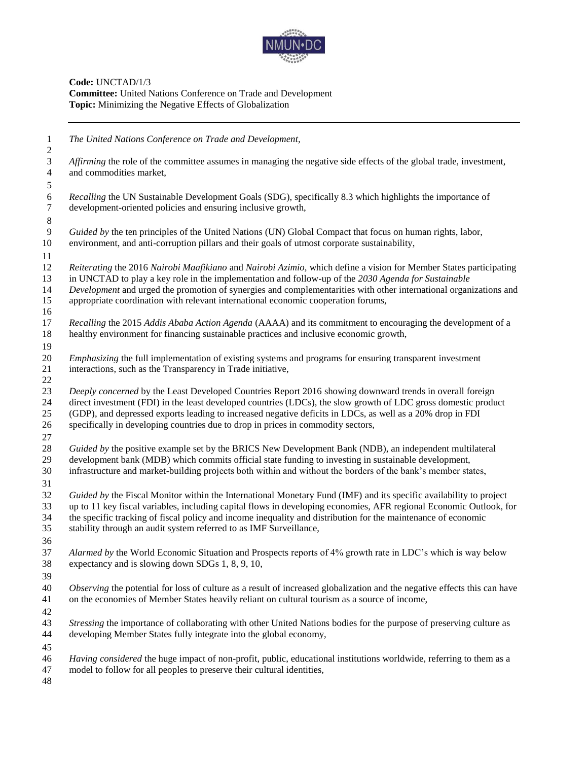

**Code:** UNCTAD/1/3 **Committee:** United Nations Conference on Trade and Development **Topic:** Minimizing the Negative Effects of Globalization

 *The United Nations Conference on Trade and Development, Affirming* the role of the committee assumes in managing the negative side effects of the global trade, investment, and commodities market, *Recalling* the UN Sustainable Development Goals (SDG), specifically 8.3 which highlights the importance of development-oriented policies and ensuring inclusive growth, *Guided by* the ten principles of the United Nations (UN) Global Compact that focus on human rights, labor, environment, and anti-corruption pillars and their goals of utmost corporate sustainability, *Reiterating* the 2016 *Nairobi Maafikiano* and *Nairobi Azimio,* which define a vision for Member States participating in UNCTAD to play a key role in the implementation and follow-up of the *2030 Agenda for Sustainable Development* and urged the promotion of synergies and complementarities with other international organizations and appropriate coordination with relevant international economic cooperation forums, *Recalling* the 2015 *Addis Ababa Action Agenda* (AAAA) and its commitment to encouraging the development of a healthy environment for financing sustainable practices and inclusive economic growth, *Emphasizing* the full implementation of existing systems and programs for ensuring transparent investment interactions, such as the Transparency in Trade initiative, *Deeply concerned* by the Least Developed Countries Report 2016 showing downward trends in overall foreign direct investment (FDI) in the least developed countries (LDCs), the slow growth of LDC gross domestic product (GDP), and depressed exports leading to increased negative deficits in LDCs, as well as a 20% drop in FDI specifically in developing countries due to drop in prices in commodity sectors, *Guided by* the positive example set by the BRICS New Development Bank (NDB), an independent multilateral development bank (MDB) which commits official state funding to investing in sustainable development, infrastructure and market-building projects both within and without the borders of the bank's member states, *Guided by* the Fiscal Monitor within the International Monetary Fund (IMF) and its specific availability to project up to 11 key fiscal variables, including capital flows in developing economies, AFR regional Economic Outlook, for the specific tracking of fiscal policy and income inequality and distribution for the maintenance of economic stability through an audit system referred to as IMF Surveillance, *Alarmed by* the World Economic Situation and Prospects reports of 4% growth rate in LDC's which is way below expectancy and is slowing down SDGs 1, 8, 9, 10, *Observing* the potential for loss of culture as a result of increased globalization and the negative effects this can have on the economies of Member States heavily reliant on cultural tourism as a source of income, *Stressing* the importance of collaborating with other United Nations bodies for the purpose of preserving culture as developing Member States fully integrate into the global economy, *Having considered* the huge impact of non-profit, public, educational institutions worldwide, referring to them as a model to follow for all peoples to preserve their cultural identities,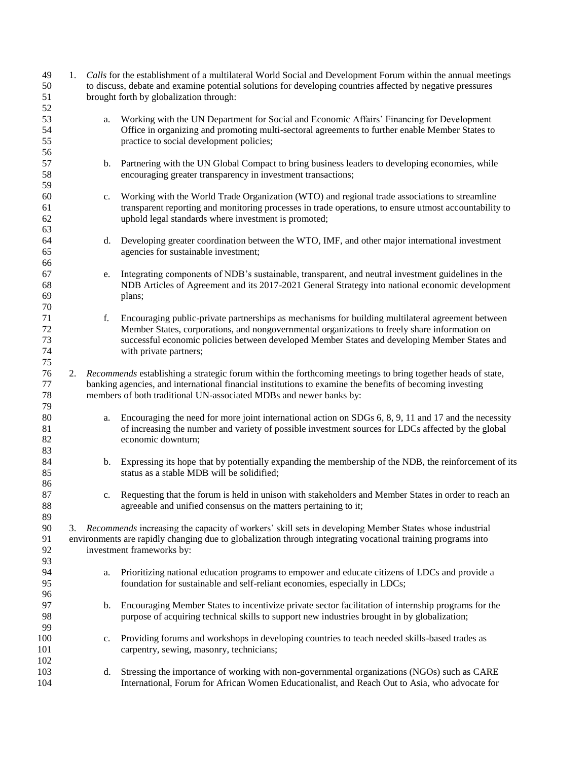| 49<br>50<br>51             | 1. |    | Calls for the establishment of a multilateral World Social and Development Forum within the annual meetings<br>to discuss, debate and examine potential solutions for developing countries affected by negative pressures<br>brought forth by globalization through:                                                          |
|----------------------------|----|----|-------------------------------------------------------------------------------------------------------------------------------------------------------------------------------------------------------------------------------------------------------------------------------------------------------------------------------|
| 52<br>53<br>54<br>55       |    | a. | Working with the UN Department for Social and Economic Affairs' Financing for Development<br>Office in organizing and promoting multi-sectoral agreements to further enable Member States to<br>practice to social development policies;                                                                                      |
| 56<br>57<br>58<br>59       |    | b. | Partnering with the UN Global Compact to bring business leaders to developing economies, while<br>encouraging greater transparency in investment transactions;                                                                                                                                                                |
| 60<br>61<br>62<br>63       |    | c. | Working with the World Trade Organization (WTO) and regional trade associations to streamline<br>transparent reporting and monitoring processes in trade operations, to ensure utmost accountability to<br>uphold legal standards where investment is promoted;                                                               |
| 64<br>65<br>66             |    | d. | Developing greater coordination between the WTO, IMF, and other major international investment<br>agencies for sustainable investment;                                                                                                                                                                                        |
| 67<br>68<br>69<br>70       |    | e. | Integrating components of NDB's sustainable, transparent, and neutral investment guidelines in the<br>NDB Articles of Agreement and its 2017-2021 General Strategy into national economic development<br>plans;                                                                                                               |
| 71<br>72<br>73<br>74<br>75 |    | f. | Encouraging public-private partnerships as mechanisms for building multilateral agreement between<br>Member States, corporations, and nongovernmental organizations to freely share information on<br>successful economic policies between developed Member States and developing Member States and<br>with private partners; |
| 76<br>77<br>78<br>79       | 2. |    | Recommends establishing a strategic forum within the forthcoming meetings to bring together heads of state,<br>banking agencies, and international financial institutions to examine the benefits of becoming investing<br>members of both traditional UN-associated MDBs and newer banks by:                                 |
| $80\,$<br>81<br>82<br>83   |    | a. | Encouraging the need for more joint international action on SDGs 6, 8, 9, 11 and 17 and the necessity<br>of increasing the number and variety of possible investment sources for LDCs affected by the global<br>economic downturn;                                                                                            |
| 84<br>85<br>86             |    | b. | Expressing its hope that by potentially expanding the membership of the NDB, the reinforcement of its<br>status as a stable MDB will be solidified;                                                                                                                                                                           |
| 87<br>88<br>89             |    | c. | Requesting that the forum is held in unison with stakeholders and Member States in order to reach an<br>agreeable and unified consensus on the matters pertaining to it;                                                                                                                                                      |
| 90<br>91<br>92<br>93       | 3. |    | Recommends increasing the capacity of workers' skill sets in developing Member States whose industrial<br>environments are rapidly changing due to globalization through integrating vocational training programs into<br>investment frameworks by:                                                                           |
| 94<br>95<br>96             |    | a. | Prioritizing national education programs to empower and educate citizens of LDCs and provide a<br>foundation for sustainable and self-reliant economies, especially in LDCs;                                                                                                                                                  |
| 97<br>98<br>99             |    | b. | Encouraging Member States to incentivize private sector facilitation of internship programs for the<br>purpose of acquiring technical skills to support new industries brought in by globalization;                                                                                                                           |
| 100<br>101<br>102          |    | c. | Providing forums and workshops in developing countries to teach needed skills-based trades as<br>carpentry, sewing, masonry, technicians;                                                                                                                                                                                     |
| 103<br>104                 |    | d. | Stressing the importance of working with non-governmental organizations (NGOs) such as CARE<br>International, Forum for African Women Educationalist, and Reach Out to Asia, who advocate for                                                                                                                                 |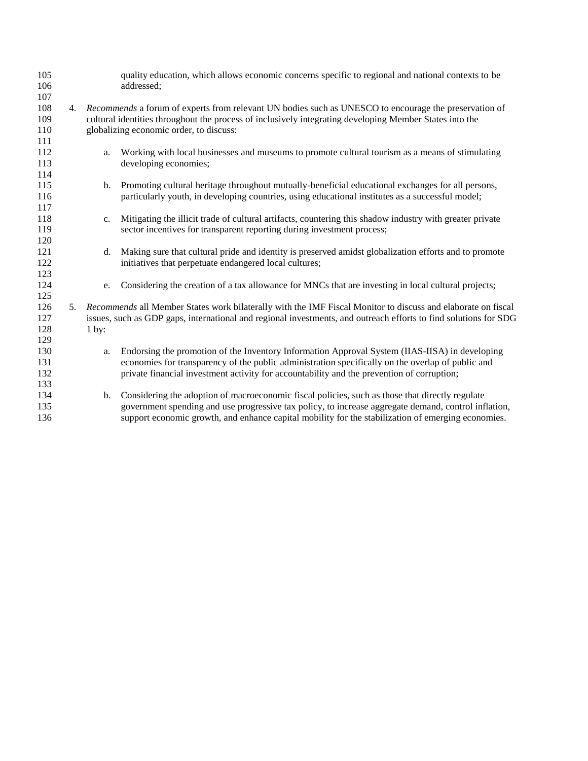| 105<br>106<br>107 |    |                 | quality education, which allows economic concerns specific to regional and national contexts to be<br>addressed;                                                                                                    |
|-------------------|----|-----------------|---------------------------------------------------------------------------------------------------------------------------------------------------------------------------------------------------------------------|
| 108<br>109        |    |                 | 4. Recommends a forum of experts from relevant UN bodies such as UNESCO to encourage the preservation of<br>cultural identities throughout the process of inclusively integrating developing Member States into the |
| 110               |    |                 | globalizing economic order, to discuss:                                                                                                                                                                             |
| 111               |    |                 |                                                                                                                                                                                                                     |
| 112<br>113        |    | a.              | Working with local businesses and museums to promote cultural tourism as a means of stimulating<br>developing economies;                                                                                            |
| 114               |    |                 |                                                                                                                                                                                                                     |
| 115<br>116        |    | $b_{1}$         | Promoting cultural heritage throughout mutually-beneficial educational exchanges for all persons,<br>particularly youth, in developing countries, using educational institutes as a successful model;               |
| 117               |    |                 |                                                                                                                                                                                                                     |
| 118               |    | c.              | Mitigating the illicit trade of cultural artifacts, countering this shadow industry with greater private                                                                                                            |
| 119               |    |                 | sector incentives for transparent reporting during investment process;                                                                                                                                              |
| 120               |    |                 |                                                                                                                                                                                                                     |
| 121<br>122        |    | d.              | Making sure that cultural pride and identity is preserved amidst globalization efforts and to promote<br>initiatives that perpetuate endangered local cultures;                                                     |
| 123               |    |                 |                                                                                                                                                                                                                     |
| 124<br>125        |    | e.              | Considering the creation of a tax allowance for MNCs that are investing in local cultural projects;                                                                                                                 |
| 126               | 5. |                 | Recommends all Member States work bilaterally with the IMF Fiscal Monitor to discuss and elaborate on fiscal                                                                                                        |
| 127               |    |                 | issues, such as GDP gaps, international and regional investments, and outreach efforts to find solutions for SDG                                                                                                    |
| 128               |    | $1 \text{ by:}$ |                                                                                                                                                                                                                     |
| 129               |    |                 |                                                                                                                                                                                                                     |
| 130               |    | a.              | Endorsing the promotion of the Inventory Information Approval System (IIAS-IISA) in developing                                                                                                                      |
| 131               |    |                 | economies for transparency of the public administration specifically on the overlap of public and                                                                                                                   |
| 132               |    |                 | private financial investment activity for accountability and the prevention of corruption;                                                                                                                          |
| 133               |    |                 |                                                                                                                                                                                                                     |
| 134<br>135        |    | b.              | Considering the adoption of macroeconomic fiscal policies, such as those that directly regulate<br>government spending and use progressive tax policy, to increase aggregate demand, control inflation,             |
| 136               |    |                 | support economic growth, and enhance capital mobility for the stabilization of emerging economies.                                                                                                                  |
|                   |    |                 |                                                                                                                                                                                                                     |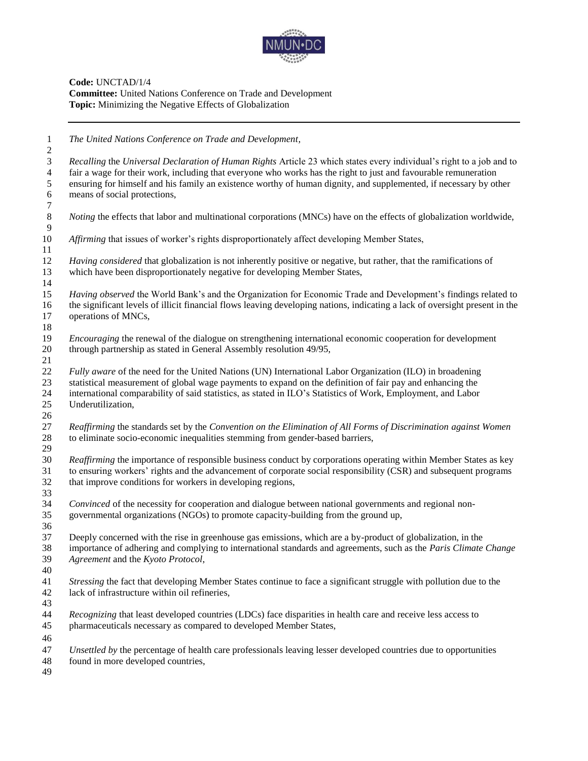

**Code:** UNCTAD/1/4 **Committee:** United Nations Conference on Trade and Development **Topic:** Minimizing the Negative Effects of Globalization

 *The United Nations Conference on Trade and Development, Recalling* the *Universal Declaration of Human Rights* Article 23 which states every individual's right to a job and to fair a wage for their work, including that everyone who works has the right to just and favourable remuneration ensuring for himself and his family an existence worthy of human dignity, and supplemented, if necessary by other means of social protections, *Noting* the effects that labor and multinational corporations (MNCs) have on the effects of globalization worldwide, *Affirming* that issues of worker's rights disproportionately affect developing Member States, *Having considered* that globalization is not inherently positive or negative, but rather, that the ramifications of which have been disproportionately negative for developing Member States, *Having observed* the World Bank's and the Organization for Economic Trade and Development's findings related to the significant levels of illicit financial flows leaving developing nations, indicating a lack of oversight present in the operations of MNCs, *Encouraging* the renewal of the dialogue on strengthening international economic cooperation for development through partnership as stated in General Assembly resolution 49/95, *Fully aware* of the need for the United Nations (UN) International Labor Organization (ILO) in broadening statistical measurement of global wage payments to expand on the definition of fair pay and enhancing the international comparability of said statistics, as stated in ILO's Statistics of Work, Employment, and Labor Underutilization, *Reaffirming* the standards set by the *Convention on the Elimination of All Forms of Discrimination against Women* to eliminate socio-economic inequalities stemming from gender-based barriers, *Reaffirming* the importance of responsible business conduct by corporations operating within Member States as key to ensuring workers' rights and the advancement of corporate social responsibility (CSR) and subsequent programs that improve conditions for workers in developing regions, *Convinced* of the necessity for cooperation and dialogue between national governments and regional non- governmental organizations (NGOs) to promote capacity-building from the ground up, Deeply concerned with the rise in greenhouse gas emissions, which are a by-product of globalization, in the importance of adhering and complying to international standards and agreements, such as the *Paris Climate Change Agreement* and the *Kyoto Protocol*, *Stressing* the fact that developing Member States continue to face a significant struggle with pollution due to the lack of infrastructure within oil refineries, *Recognizing* that least developed countries (LDCs) face disparities in health care and receive less access to pharmaceuticals necessary as compared to developed Member States, *Unsettled by* the percentage of health care professionals leaving lesser developed countries due to opportunities found in more developed countries,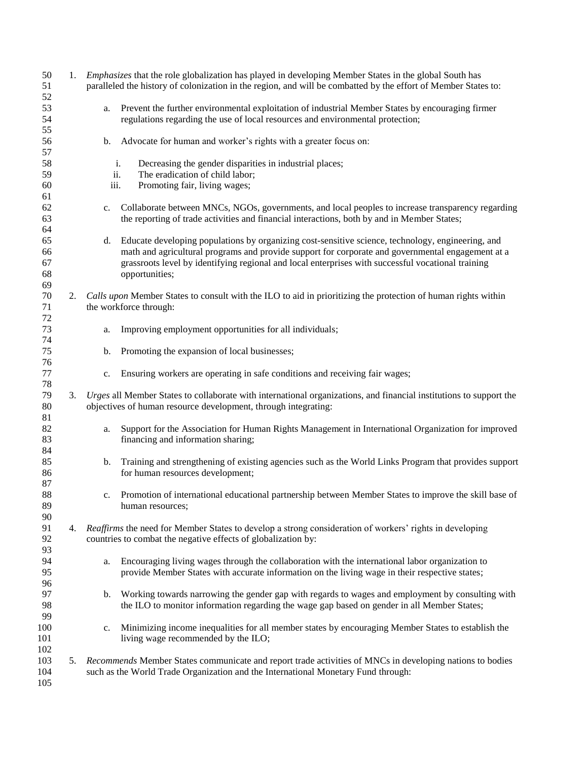| 50<br>51                   |    |                | 1. <i>Emphasizes</i> that the role globalization has played in developing Member States in the global South has<br>paralleled the history of colonization in the region, and will be combatted by the effort of Member States to:                                                                                              |
|----------------------------|----|----------------|--------------------------------------------------------------------------------------------------------------------------------------------------------------------------------------------------------------------------------------------------------------------------------------------------------------------------------|
| 52<br>53                   |    | a.             | Prevent the further environmental exploitation of industrial Member States by encouraging firmer                                                                                                                                                                                                                               |
| 54                         |    |                | regulations regarding the use of local resources and environmental protection;                                                                                                                                                                                                                                                 |
| 55<br>56<br>57             |    | b.             | Advocate for human and worker's rights with a greater focus on:                                                                                                                                                                                                                                                                |
| 58                         |    |                | Decreasing the gender disparities in industrial places;<br>i.                                                                                                                                                                                                                                                                  |
| 59                         |    | iii.           | ii.<br>The eradication of child labor;                                                                                                                                                                                                                                                                                         |
| 60<br>61                   |    |                | Promoting fair, living wages;                                                                                                                                                                                                                                                                                                  |
| 62<br>63<br>64             |    | c.             | Collaborate between MNCs, NGOs, governments, and local peoples to increase transparency regarding<br>the reporting of trade activities and financial interactions, both by and in Member States;                                                                                                                               |
| 65<br>66<br>67<br>68<br>69 |    | d.             | Educate developing populations by organizing cost-sensitive science, technology, engineering, and<br>math and agricultural programs and provide support for corporate and governmental engagement at a<br>grassroots level by identifying regional and local enterprises with successful vocational training<br>opportunities; |
| 70<br>71                   | 2. |                | Calls upon Member States to consult with the ILO to aid in prioritizing the protection of human rights within<br>the workforce through:                                                                                                                                                                                        |
| 72<br>73<br>74             |    | a.             | Improving employment opportunities for all individuals;                                                                                                                                                                                                                                                                        |
| 75<br>76                   |    | b.             | Promoting the expansion of local businesses;                                                                                                                                                                                                                                                                                   |
| 77<br>78                   |    | $\mathbf{c}$ . | Ensuring workers are operating in safe conditions and receiving fair wages;                                                                                                                                                                                                                                                    |
| 79<br>80                   | 3. |                | Urges all Member States to collaborate with international organizations, and financial institutions to support the<br>objectives of human resource development, through integrating:                                                                                                                                           |
| 81<br>82<br>83<br>84       |    | a.             | Support for the Association for Human Rights Management in International Organization for improved<br>financing and information sharing;                                                                                                                                                                                       |
| 85<br>86<br>87             |    | b.             | Training and strengthening of existing agencies such as the World Links Program that provides support<br>for human resources development;                                                                                                                                                                                      |
| 88<br>89<br>90             |    | $c_{\cdot}$    | Promotion of international educational partnership between Member States to improve the skill base of<br>human resources;                                                                                                                                                                                                      |
| 91<br>92                   | 4. |                | Reaffirms the need for Member States to develop a strong consideration of workers' rights in developing<br>countries to combat the negative effects of globalization by:                                                                                                                                                       |
| 93<br>94<br>95<br>96       |    | a.             | Encouraging living wages through the collaboration with the international labor organization to<br>provide Member States with accurate information on the living wage in their respective states;                                                                                                                              |
| 97<br>98<br>99             |    | b.             | Working towards narrowing the gender gap with regards to wages and employment by consulting with<br>the ILO to monitor information regarding the wage gap based on gender in all Member States;                                                                                                                                |
| 100<br>101<br>102          |    | c.             | Minimizing income inequalities for all member states by encouraging Member States to establish the<br>living wage recommended by the ILO;                                                                                                                                                                                      |
| 103<br>104<br>105          |    |                | 5. Recommends Member States communicate and report trade activities of MNCs in developing nations to bodies<br>such as the World Trade Organization and the International Monetary Fund through:                                                                                                                               |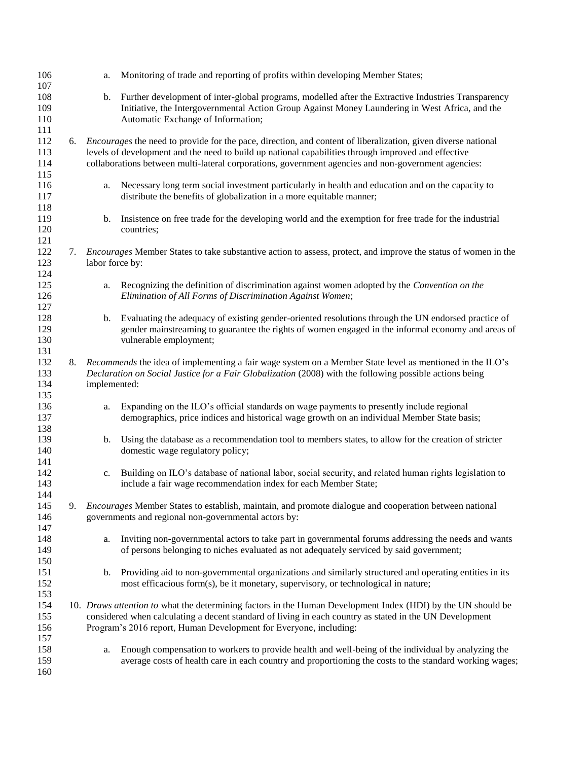| 106<br>107               |    | a.              | Monitoring of trade and reporting of profits within developing Member States;                                                                                                                                                                                                                                                      |
|--------------------------|----|-----------------|------------------------------------------------------------------------------------------------------------------------------------------------------------------------------------------------------------------------------------------------------------------------------------------------------------------------------------|
| 108<br>109               |    | b.              | Further development of inter-global programs, modelled after the Extractive Industries Transparency<br>Initiative, the Intergovernmental Action Group Against Money Laundering in West Africa, and the                                                                                                                             |
| 110<br>111               |    |                 | Automatic Exchange of Information;                                                                                                                                                                                                                                                                                                 |
| 112<br>113<br>114<br>115 | 6. |                 | <i>Encourages</i> the need to provide for the pace, direction, and content of liberalization, given diverse national<br>levels of development and the need to build up national capabilities through improved and effective<br>collaborations between multi-lateral corporations, government agencies and non-government agencies: |
| 116<br>117<br>118        |    | a.              | Necessary long term social investment particularly in health and education and on the capacity to<br>distribute the benefits of globalization in a more equitable manner;                                                                                                                                                          |
| 119<br>120<br>121        |    | b.              | Insistence on free trade for the developing world and the exemption for free trade for the industrial<br>countries;                                                                                                                                                                                                                |
| 122<br>123<br>124        | 7. | labor force by: | <i>Encourages</i> Member States to take substantive action to assess, protect, and improve the status of women in the                                                                                                                                                                                                              |
| 125<br>126<br>127        |    | a.              | Recognizing the definition of discrimination against women adopted by the Convention on the<br>Elimination of All Forms of Discrimination Against Women;                                                                                                                                                                           |
| 128<br>129<br>130<br>131 |    | b.              | Evaluating the adequacy of existing gender-oriented resolutions through the UN endorsed practice of<br>gender mainstreaming to guarantee the rights of women engaged in the informal economy and areas of<br>vulnerable employment;                                                                                                |
| 132<br>133<br>134<br>135 | 8. | implemented:    | <i>Recommends</i> the idea of implementing a fair wage system on a Member State level as mentioned in the ILO's<br>Declaration on Social Justice for a Fair Globalization (2008) with the following possible actions being                                                                                                         |
| 136<br>137<br>138        |    | a.              | Expanding on the ILO's official standards on wage payments to presently include regional<br>demographics, price indices and historical wage growth on an individual Member State basis;                                                                                                                                            |
| 139<br>140<br>141        |    | b.              | Using the database as a recommendation tool to members states, to allow for the creation of stricter<br>domestic wage regulatory policy;                                                                                                                                                                                           |
| 142<br>143<br>144        |    |                 | c. Building on ILO's database of national labor, social security, and related human rights legislation to<br>include a fair wage recommendation index for each Member State;                                                                                                                                                       |
| 145<br>146<br>147        | 9. |                 | Encourages Member States to establish, maintain, and promote dialogue and cooperation between national<br>governments and regional non-governmental actors by:                                                                                                                                                                     |
| 148<br>149<br>150        |    | a.              | Inviting non-governmental actors to take part in governmental forums addressing the needs and wants<br>of persons belonging to niches evaluated as not adequately serviced by said government;                                                                                                                                     |
| 151<br>152<br>153        |    | b.              | Providing aid to non-governmental organizations and similarly structured and operating entities in its<br>most efficacious form(s), be it monetary, supervisory, or technological in nature;                                                                                                                                       |
| 154<br>155<br>156<br>157 |    |                 | 10. Draws attention to what the determining factors in the Human Development Index (HDI) by the UN should be<br>considered when calculating a decent standard of living in each country as stated in the UN Development<br>Program's 2016 report, Human Development for Everyone, including:                                       |
| 158<br>159<br>160        |    | a.              | Enough compensation to workers to provide health and well-being of the individual by analyzing the<br>average costs of health care in each country and proportioning the costs to the standard working wages;                                                                                                                      |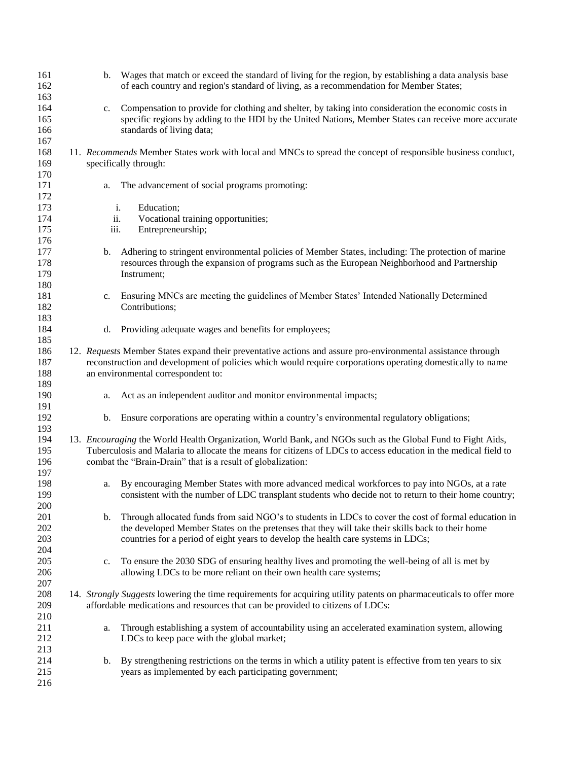| 161        | b.          | Wages that match or exceed the standard of living for the region, by establishing a data analysis base              |
|------------|-------------|---------------------------------------------------------------------------------------------------------------------|
| 162        |             | of each country and region's standard of living, as a recommendation for Member States;                             |
| 163        |             |                                                                                                                     |
| 164        | $c_{\cdot}$ | Compensation to provide for clothing and shelter, by taking into consideration the economic costs in                |
| 165        |             | specific regions by adding to the HDI by the United Nations, Member States can receive more accurate                |
| 166        |             | standards of living data;                                                                                           |
| 167        |             |                                                                                                                     |
| 168        |             | 11. Recommends Member States work with local and MNCs to spread the concept of responsible business conduct,        |
| 169        |             | specifically through:                                                                                               |
| 170        |             |                                                                                                                     |
| 171        | a.          | The advancement of social programs promoting:                                                                       |
| 172        |             |                                                                                                                     |
| 173        |             | Education;<br>i.                                                                                                    |
| 174        | ii.         | Vocational training opportunities;                                                                                  |
| 175        | iii.        | Entrepreneurship;                                                                                                   |
| 176        |             |                                                                                                                     |
| 177        | b.          | Adhering to stringent environmental policies of Member States, including: The protection of marine                  |
| 178<br>179 |             | resources through the expansion of programs such as the European Neighborhood and Partnership                       |
|            |             | Instrument;                                                                                                         |
| 180<br>181 |             | Ensuring MNCs are meeting the guidelines of Member States' Intended Nationally Determined                           |
| 182        | c.          | Contributions;                                                                                                      |
| 183        |             |                                                                                                                     |
| 184        | d.          | Providing adequate wages and benefits for employees;                                                                |
| 185        |             |                                                                                                                     |
| 186        |             | 12. Requests Member States expand their preventative actions and assure pro-environmental assistance through        |
| 187        |             | reconstruction and development of policies which would require corporations operating domestically to name          |
| 188        |             | an environmental correspondent to:                                                                                  |
| 189        |             |                                                                                                                     |
| 190        | a.          | Act as an independent auditor and monitor environmental impacts;                                                    |
| 191        |             |                                                                                                                     |
| 192        | b.          | Ensure corporations are operating within a country's environmental regulatory obligations;                          |
| 193        |             |                                                                                                                     |
| 194        |             | 13. <i>Encouraging</i> the World Health Organization, World Bank, and NGOs such as the Global Fund to Fight Aids,   |
| 195        |             | Tuberculosis and Malaria to allocate the means for citizens of LDCs to access education in the medical field to     |
| 196        |             | combat the "Brain-Drain" that is a result of globalization:                                                         |
| 197        |             |                                                                                                                     |
| 198        | a.          | By encouraging Member States with more advanced medical workforces to pay into NGOs, at a rate                      |
| 199        |             | consistent with the number of LDC transplant students who decide not to return to their home country;               |
| 200        |             |                                                                                                                     |
| 201        | b.          | Through allocated funds from said NGO's to students in LDCs to cover the cost of formal education in                |
| 202        |             | the developed Member States on the pretenses that they will take their skills back to their home                    |
| 203        |             | countries for a period of eight years to develop the health care systems in LDCs;                                   |
| 204        |             |                                                                                                                     |
| 205        | $c_{\cdot}$ | To ensure the 2030 SDG of ensuring healthy lives and promoting the well-being of all is met by                      |
| 206        |             | allowing LDCs to be more reliant on their own health care systems;                                                  |
| 207        |             |                                                                                                                     |
| 208        |             | 14. Strongly Suggests lowering the time requirements for acquiring utility patents on pharmaceuticals to offer more |
| 209        |             | affordable medications and resources that can be provided to citizens of LDCs:                                      |
| 210        |             |                                                                                                                     |
| 211        | a.          | Through establishing a system of accountability using an accelerated examination system, allowing                   |
| 212        |             | LDCs to keep pace with the global market;                                                                           |
| 213        |             |                                                                                                                     |
| 214        | b.          | By strengthening restrictions on the terms in which a utility patent is effective from ten years to six             |
| 215        |             | years as implemented by each participating government;                                                              |
| 216        |             |                                                                                                                     |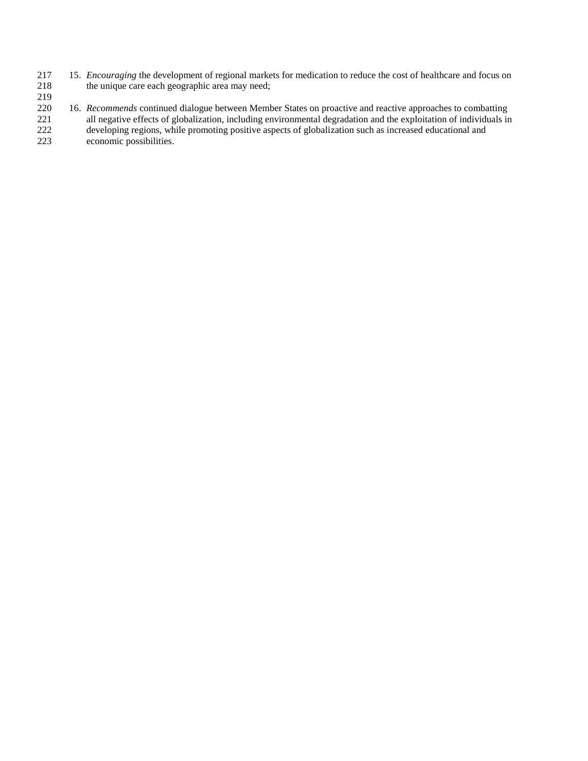- 217 15. *Encouraging* the development of regional markets for medication to reduce the cost of healthcare and focus on the unique care each geographic area may need; the unique care each geographic area may need;
- 219<br>220
- 16. *Recommends* continued dialogue between Member States on proactive and reactive approaches to combatting 221 all negative effects of globalization, including environmental degradation and the exploitation of individuals in 222 developing regions, while promoting positive aspects of globalization such as increased educational and 223 economic possibilities.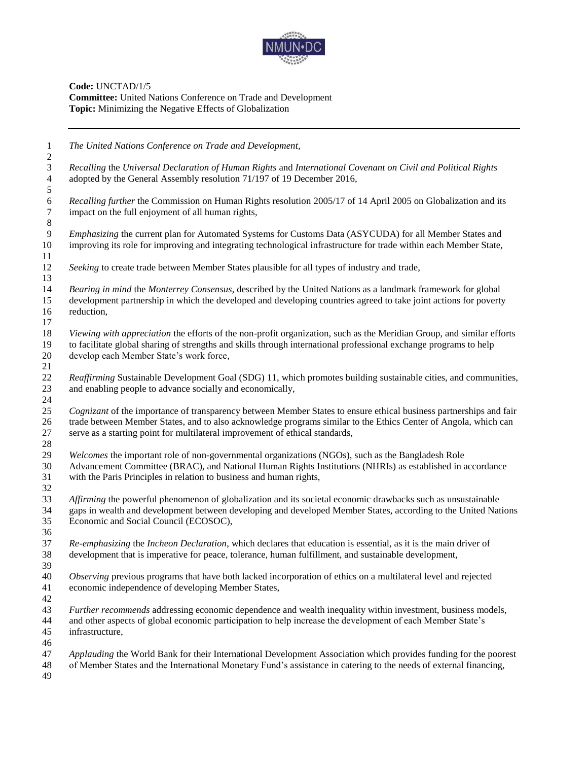

| $\mathbf{1}$                 | The United Nations Conference on Trade and Development,                                                                                                                      |
|------------------------------|------------------------------------------------------------------------------------------------------------------------------------------------------------------------------|
| $\overline{\mathbf{c}}$<br>3 | Recalling the Universal Declaration of Human Rights and International Covenant on Civil and Political Rights                                                                 |
| $\overline{4}$               | adopted by the General Assembly resolution 71/197 of 19 December 2016,                                                                                                       |
| 5                            |                                                                                                                                                                              |
| $\sqrt{6}$                   | Recalling further the Commission on Human Rights resolution 2005/17 of 14 April 2005 on Globalization and its                                                                |
| $\overline{7}$               | impact on the full enjoyment of all human rights,                                                                                                                            |
| $\,8\,$                      |                                                                                                                                                                              |
| 9                            | Emphasizing the current plan for Automated Systems for Customs Data (ASYCUDA) for all Member States and                                                                      |
| 10                           | improving its role for improving and integrating technological infrastructure for trade within each Member State,                                                            |
| 11                           |                                                                                                                                                                              |
| 12                           | Seeking to create trade between Member States plausible for all types of industry and trade,                                                                                 |
| 13                           |                                                                                                                                                                              |
| 14                           | Bearing in mind the Monterrey Consensus, described by the United Nations as a landmark framework for global                                                                  |
| 15                           | development partnership in which the developed and developing countries agreed to take joint actions for poverty                                                             |
| 16                           | reduction,                                                                                                                                                                   |
| 17                           |                                                                                                                                                                              |
| 18                           | Viewing with appreciation the efforts of the non-profit organization, such as the Meridian Group, and similar efforts                                                        |
| 19                           | to facilitate global sharing of strengths and skills through international professional exchange programs to help                                                            |
| 20                           | develop each Member State's work force,                                                                                                                                      |
| 21<br>22                     |                                                                                                                                                                              |
| 23                           | Reaffirming Sustainable Development Goal (SDG) 11, which promotes building sustainable cities, and communities,<br>and enabling people to advance socially and economically, |
| 24                           |                                                                                                                                                                              |
| 25                           | Cognizant of the importance of transparency between Member States to ensure ethical business partnerships and fair                                                           |
| 26                           | trade between Member States, and to also acknowledge programs similar to the Ethics Center of Angola, which can                                                              |
| 27                           | serve as a starting point for multilateral improvement of ethical standards,                                                                                                 |
| 28                           |                                                                                                                                                                              |
| 29                           | Welcomes the important role of non-governmental organizations (NGOs), such as the Bangladesh Role                                                                            |
| 30                           | Advancement Committee (BRAC), and National Human Rights Institutions (NHRIs) as established in accordance                                                                    |
| 31                           | with the Paris Principles in relation to business and human rights,                                                                                                          |
| 32                           |                                                                                                                                                                              |
| 33                           | Affirming the powerful phenomenon of globalization and its societal economic drawbacks such as unsustainable                                                                 |
| 34                           | gaps in wealth and development between developing and developed Member States, according to the United Nations                                                               |
| 35                           | Economic and Social Council (ECOSOC),                                                                                                                                        |
| 36                           |                                                                                                                                                                              |
| 37                           | Re-emphasizing the Incheon Declaration, which declares that education is essential, as it is the main driver of                                                              |
| 38<br>39                     | development that is imperative for peace, tolerance, human fulfillment, and sustainable development,                                                                         |
| 40                           | Observing previous programs that have both lacked incorporation of ethics on a multilateral level and rejected                                                               |
| 41                           | economic independence of developing Member States,                                                                                                                           |
| 42                           |                                                                                                                                                                              |
| 43                           | Further recommends addressing economic dependence and wealth inequality within investment, business models,                                                                  |
| 44                           | and other aspects of global economic participation to help increase the development of each Member State's                                                                   |
| 45                           | infrastructure,                                                                                                                                                              |
| 46                           |                                                                                                                                                                              |
| 47                           | Applauding the World Bank for their International Development Association which provides funding for the poorest                                                             |
| 48                           | of Member States and the International Monetary Fund's assistance in catering to the needs of external financing,                                                            |
| 49                           |                                                                                                                                                                              |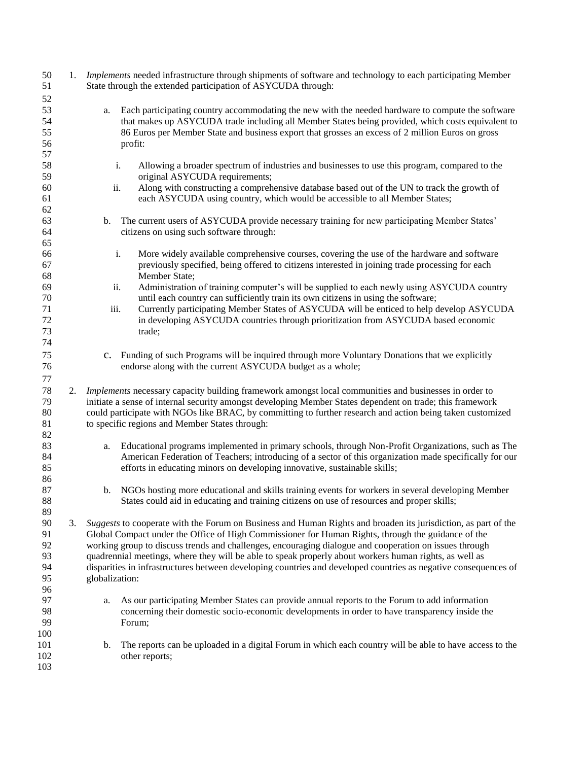| 50<br>51             |    | 1. Implements needed infrastructure through shipments of software and technology to each participating Member<br>State through the extended participation of ASYCUDA through:                                                                                                                                               |
|----------------------|----|-----------------------------------------------------------------------------------------------------------------------------------------------------------------------------------------------------------------------------------------------------------------------------------------------------------------------------|
| 52                   |    |                                                                                                                                                                                                                                                                                                                             |
| 53<br>54<br>55<br>56 |    | Each participating country accommodating the new with the needed hardware to compute the software<br>a.<br>that makes up ASYCUDA trade including all Member States being provided, which costs equivalent to<br>86 Euros per Member State and business export that grosses an excess of 2 million Euros on gross<br>profit: |
| 57                   |    |                                                                                                                                                                                                                                                                                                                             |
|                      |    |                                                                                                                                                                                                                                                                                                                             |
| 58                   |    | i.<br>Allowing a broader spectrum of industries and businesses to use this program, compared to the                                                                                                                                                                                                                         |
| 59                   |    | original ASYCUDA requirements;                                                                                                                                                                                                                                                                                              |
| 60                   |    | Along with constructing a comprehensive database based out of the UN to track the growth of<br>ii.                                                                                                                                                                                                                          |
| 61                   |    | each ASYCUDA using country, which would be accessible to all Member States;                                                                                                                                                                                                                                                 |
| 62                   |    |                                                                                                                                                                                                                                                                                                                             |
| 63                   |    | The current users of ASYCUDA provide necessary training for new participating Member States'<br>b.                                                                                                                                                                                                                          |
| 64                   |    | citizens on using such software through:                                                                                                                                                                                                                                                                                    |
| 65                   |    |                                                                                                                                                                                                                                                                                                                             |
| 66                   |    | i.                                                                                                                                                                                                                                                                                                                          |
|                      |    | More widely available comprehensive courses, covering the use of the hardware and software                                                                                                                                                                                                                                  |
| 67                   |    | previously specified, being offered to citizens interested in joining trade processing for each                                                                                                                                                                                                                             |
| 68                   |    | Member State;                                                                                                                                                                                                                                                                                                               |
| 69                   |    | Administration of training computer's will be supplied to each newly using ASYCUDA country<br>ii.                                                                                                                                                                                                                           |
| 70                   |    | until each country can sufficiently train its own citizens in using the software;                                                                                                                                                                                                                                           |
| 71                   |    | iii.<br>Currently participating Member States of ASYCUDA will be enticed to help develop ASYCUDA                                                                                                                                                                                                                            |
| 72                   |    | in developing ASYCUDA countries through prioritization from ASYCUDA based economic                                                                                                                                                                                                                                          |
| 73                   |    | trade;                                                                                                                                                                                                                                                                                                                      |
| 74                   |    |                                                                                                                                                                                                                                                                                                                             |
| 75                   |    | Funding of such Programs will be inquired through more Voluntary Donations that we explicitly<br>$\mathbf{c}$ .                                                                                                                                                                                                             |
| 76                   |    |                                                                                                                                                                                                                                                                                                                             |
|                      |    | endorse along with the current ASYCUDA budget as a whole;                                                                                                                                                                                                                                                                   |
| $77 \,$              |    |                                                                                                                                                                                                                                                                                                                             |
| $78\,$               |    | 2. Implements necessary capacity building framework amongst local communities and businesses in order to                                                                                                                                                                                                                    |
| 79                   |    | initiate a sense of internal security amongst developing Member States dependent on trade; this framework                                                                                                                                                                                                                   |
| $80\,$               |    | could participate with NGOs like BRAC, by committing to further research and action being taken customized                                                                                                                                                                                                                  |
| 81                   |    | to specific regions and Member States through:                                                                                                                                                                                                                                                                              |
| 82                   |    |                                                                                                                                                                                                                                                                                                                             |
| 83                   |    | Educational programs implemented in primary schools, through Non-Profit Organizations, such as The<br>a.                                                                                                                                                                                                                    |
| 84                   |    | American Federation of Teachers; introducing of a sector of this organization made specifically for our                                                                                                                                                                                                                     |
| 85                   |    | efforts in educating minors on developing innovative, sustainable skills;                                                                                                                                                                                                                                                   |
| 86                   |    |                                                                                                                                                                                                                                                                                                                             |
| 87                   |    | NGOs hosting more educational and skills training events for workers in several developing Member                                                                                                                                                                                                                           |
|                      |    | b.<br>States could aid in educating and training citizens on use of resources and proper skills;                                                                                                                                                                                                                            |
| 88                   |    |                                                                                                                                                                                                                                                                                                                             |
| 89                   |    |                                                                                                                                                                                                                                                                                                                             |
| 90                   | 3. | Suggests to cooperate with the Forum on Business and Human Rights and broaden its jurisdiction, as part of the                                                                                                                                                                                                              |
| 91                   |    | Global Compact under the Office of High Commissioner for Human Rights, through the guidance of the                                                                                                                                                                                                                          |
| 92                   |    | working group to discuss trends and challenges, encouraging dialogue and cooperation on issues through                                                                                                                                                                                                                      |
| 93                   |    | quadrennial meetings, where they will be able to speak properly about workers human rights, as well as                                                                                                                                                                                                                      |
| 94                   |    | disparities in infrastructures between developing countries and developed countries as negative consequences of                                                                                                                                                                                                             |
| 95                   |    | globalization:                                                                                                                                                                                                                                                                                                              |
| 96                   |    |                                                                                                                                                                                                                                                                                                                             |
| 97                   |    | As our participating Member States can provide annual reports to the Forum to add information<br>a.                                                                                                                                                                                                                         |
| 98                   |    | concerning their domestic socio-economic developments in order to have transparency inside the                                                                                                                                                                                                                              |
| 99                   |    | Forum;                                                                                                                                                                                                                                                                                                                      |
| 100                  |    |                                                                                                                                                                                                                                                                                                                             |
| 101                  |    | b.<br>The reports can be uploaded in a digital Forum in which each country will be able to have access to the                                                                                                                                                                                                               |
| 102                  |    | other reports;                                                                                                                                                                                                                                                                                                              |
| 103                  |    |                                                                                                                                                                                                                                                                                                                             |
|                      |    |                                                                                                                                                                                                                                                                                                                             |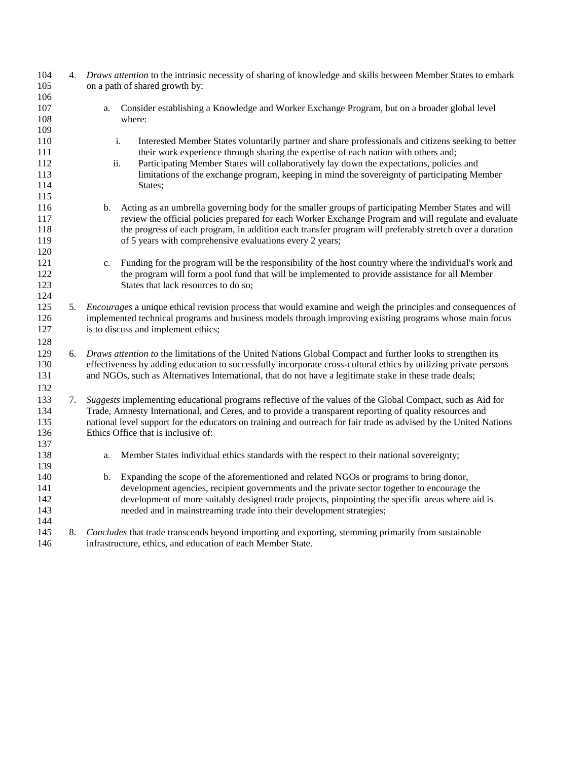| 104<br>105<br>106                      | 4. | Draws attention to the intrinsic necessity of sharing of knowledge and skills between Member States to embark<br>on a path of shared growth by:                                                                                                                                                                                                                                                                          |
|----------------------------------------|----|--------------------------------------------------------------------------------------------------------------------------------------------------------------------------------------------------------------------------------------------------------------------------------------------------------------------------------------------------------------------------------------------------------------------------|
| 107<br>108<br>109                      |    | Consider establishing a Knowledge and Worker Exchange Program, but on a broader global level<br>a.<br>where:                                                                                                                                                                                                                                                                                                             |
| 110<br>111<br>112<br>113<br>114<br>115 |    | $\mathbf i.$<br>Interested Member States voluntarily partner and share professionals and citizens seeking to better<br>their work experience through sharing the expertise of each nation with others and;<br>ii.<br>Participating Member States will collaboratively lay down the expectations, policies and<br>limitations of the exchange program, keeping in mind the sovereignty of participating Member<br>States; |
| 116<br>117<br>118<br>119<br>120        |    | Acting as an umbrella governing body for the smaller groups of participating Member States and will<br>b.<br>review the official policies prepared for each Worker Exchange Program and will regulate and evaluate<br>the progress of each program, in addition each transfer program will preferably stretch over a duration<br>of 5 years with comprehensive evaluations every 2 years;                                |
| 121<br>122<br>123<br>124               |    | Funding for the program will be the responsibility of the host country where the individual's work and<br>c.<br>the program will form a pool fund that will be implemented to provide assistance for all Member<br>States that lack resources to do so;                                                                                                                                                                  |
| 125<br>126<br>127<br>128               | 5. | <i>Encourages</i> a unique ethical revision process that would examine and weigh the principles and consequences of<br>implemented technical programs and business models through improving existing programs whose main focus<br>is to discuss and implement ethics;                                                                                                                                                    |
| 129<br>130<br>131<br>132               | 6. | Draws attention to the limitations of the United Nations Global Compact and further looks to strengthen its<br>effectiveness by adding education to successfully incorporate cross-cultural ethics by utilizing private persons<br>and NGOs, such as Alternatives International, that do not have a legitimate stake in these trade deals;                                                                               |
| 133<br>134<br>135<br>136<br>137        | 7. | Suggests implementing educational programs reflective of the values of the Global Compact, such as Aid for<br>Trade, Amnesty International, and Ceres, and to provide a transparent reporting of quality resources and<br>national level support for the educators on training and outreach for fair trade as advised by the United Nations<br>Ethics Office that is inclusive of:                                       |
| 138<br>139                             |    | Member States individual ethics standards with the respect to their national sovereignty;<br>a.                                                                                                                                                                                                                                                                                                                          |
| 140<br>141<br>142<br>143<br>144        |    | Expanding the scope of the aforementioned and related NGOs or programs to bring donor,<br>b.<br>development agencies, recipient governments and the private sector together to encourage the<br>development of more suitably designed trade projects, pinpointing the specific areas where aid is<br>needed and in mainstreaming trade into their development strategies;                                                |
| 145<br>146                             | 8. | Concludes that trade transcends beyond importing and exporting, stemming primarily from sustainable<br>infrastructure, ethics, and education of each Member State.                                                                                                                                                                                                                                                       |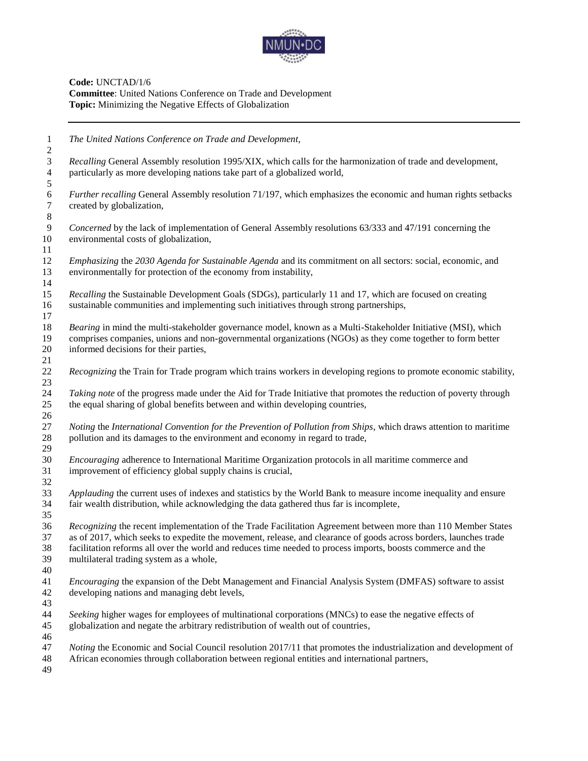

**Code:** UNCTAD/1/6 **Committee**: United Nations Conference on Trade and Development **Topic:** Minimizing the Negative Effects of Globalization

 *The United Nations Conference on Trade and Development, Recalling* General Assembly resolution 1995/XIX, which calls for the harmonization of trade and development, particularly as more developing nations take part of a globalized world, *Further recalling* General Assembly resolution 71/197, which emphasizes the economic and human rights setbacks created by globalization, *Concerned* by the lack of implementation of General Assembly resolutions 63/333 and 47/191 concerning the environmental costs of globalization, *Emphasizing* the *2030 Agenda for Sustainable Agenda* and its commitment on all sectors: social, economic, and environmentally for protection of the economy from instability, *Recalling* the Sustainable Development Goals (SDGs), particularly 11 and 17, which are focused on creating sustainable communities and implementing such initiatives through strong partnerships, *Bearing* in mind the multi-stakeholder governance model, known as a Multi-Stakeholder Initiative (MSI), which comprises companies, unions and non-governmental organizations (NGOs) as they come together to form better informed decisions for their parties, *Recognizing* the Train for Trade program which trains workers in developing regions to promote economic stability, *Taking note* of the progress made under the Aid for Trade Initiative that promotes the reduction of poverty through the equal sharing of global benefits between and within developing countries, *Noting* the *International Convention for the Prevention of Pollution from Ships*, which draws attention to maritime pollution and its damages to the environment and economy in regard to trade, *Encouraging* adherence to International Maritime Organization protocols in all maritime commerce and improvement of efficiency global supply chains is crucial, *Applauding* the current uses of indexes and statistics by the World Bank to measure income inequality and ensure fair wealth distribution, while acknowledging the data gathered thus far is incomplete*, Recognizing* the recent implementation of the Trade Facilitation Agreement between more than 110 Member States as of 2017, which seeks to expedite the movement, release, and clearance of goods across borders, launches trade facilitation reforms all over the world and reduces time needed to process imports, boosts commerce and the multilateral trading system as a whole, *Encouraging* the expansion of the Debt Management and Financial Analysis System (DMFAS) software to assist developing nations and managing debt levels, *Seeking* higher wages for employees of multinational corporations (MNCs) to ease the negative effects of globalization and negate the arbitrary redistribution of wealth out of countries, *Noting* the Economic and Social Council resolution 2017/11 that promotes the industrialization and development of African economies through collaboration between regional entities and international partners,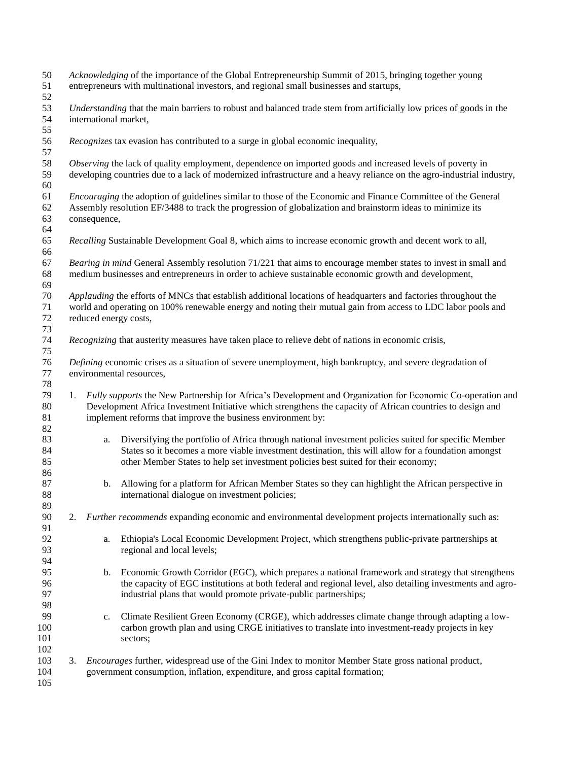| 50<br>51<br>52 |    | Acknowledging of the importance of the Global Entrepreneurship Summit of 2015, bringing together young<br>entrepreneurs with multinational investors, and regional small businesses and startups, |                                                                                                                                              |  |
|----------------|----|---------------------------------------------------------------------------------------------------------------------------------------------------------------------------------------------------|----------------------------------------------------------------------------------------------------------------------------------------------|--|
| 53<br>54<br>55 |    |                                                                                                                                                                                                   | Understanding that the main barriers to robust and balanced trade stem from artificially low prices of goods in the<br>international market, |  |
| 56<br>57       |    |                                                                                                                                                                                                   | Recognizes tax evasion has contributed to a surge in global economic inequality,                                                             |  |
| 58             |    |                                                                                                                                                                                                   | Observing the lack of quality employment, dependence on imported goods and increased levels of poverty in                                    |  |
| 59             |    |                                                                                                                                                                                                   | developing countries due to a lack of modernized infrastructure and a heavy reliance on the agro-industrial industry,                        |  |
| 60             |    |                                                                                                                                                                                                   |                                                                                                                                              |  |
| 61             |    |                                                                                                                                                                                                   | <i>Encouraging</i> the adoption of guidelines similar to those of the Economic and Finance Committee of the General                          |  |
| 62             |    | Assembly resolution EF/3488 to track the progression of globalization and brainstorm ideas to minimize its                                                                                        |                                                                                                                                              |  |
| 63             |    | consequence,                                                                                                                                                                                      |                                                                                                                                              |  |
| 64             |    |                                                                                                                                                                                                   |                                                                                                                                              |  |
| 65             |    |                                                                                                                                                                                                   | Recalling Sustainable Development Goal 8, which aims to increase economic growth and decent work to all,                                     |  |
| 66             |    |                                                                                                                                                                                                   |                                                                                                                                              |  |
| 67             |    |                                                                                                                                                                                                   | Bearing in mind General Assembly resolution 71/221 that aims to encourage member states to invest in small and                               |  |
| 68             |    |                                                                                                                                                                                                   | medium businesses and entrepreneurs in order to achieve sustainable economic growth and development,                                         |  |
| 69             |    |                                                                                                                                                                                                   |                                                                                                                                              |  |
| 70             |    |                                                                                                                                                                                                   | Applauding the efforts of MNCs that establish additional locations of headquarters and factories throughout the                              |  |
| 71             |    |                                                                                                                                                                                                   | world and operating on 100% renewable energy and noting their mutual gain from access to LDC labor pools and                                 |  |
| 72             |    |                                                                                                                                                                                                   | reduced energy costs,                                                                                                                        |  |
| 73             |    |                                                                                                                                                                                                   |                                                                                                                                              |  |
| 74             |    |                                                                                                                                                                                                   | Recognizing that austerity measures have taken place to relieve debt of nations in economic crisis,                                          |  |
| 75             |    |                                                                                                                                                                                                   |                                                                                                                                              |  |
| 76             |    |                                                                                                                                                                                                   | Defining economic crises as a situation of severe unemployment, high bankruptcy, and severe degradation of                                   |  |
| 77             |    |                                                                                                                                                                                                   | environmental resources,                                                                                                                     |  |
| 78             |    |                                                                                                                                                                                                   |                                                                                                                                              |  |
| 79             | 1. |                                                                                                                                                                                                   | Fully supports the New Partnership for Africa's Development and Organization for Economic Co-operation and                                   |  |
| $80\,$         |    |                                                                                                                                                                                                   | Development Africa Investment Initiative which strengthens the capacity of African countries to design and                                   |  |
| 81             |    |                                                                                                                                                                                                   | implement reforms that improve the business environment by:                                                                                  |  |
| 82             |    |                                                                                                                                                                                                   |                                                                                                                                              |  |
| 83             |    | a.                                                                                                                                                                                                | Diversifying the portfolio of Africa through national investment policies suited for specific Member                                         |  |
| 84             |    |                                                                                                                                                                                                   | States so it becomes a more viable investment destination, this will allow for a foundation amongst                                          |  |
| 85             |    |                                                                                                                                                                                                   | other Member States to help set investment policies best suited for their economy;                                                           |  |
| 86             |    |                                                                                                                                                                                                   |                                                                                                                                              |  |
| 87             |    | b.                                                                                                                                                                                                | Allowing for a platform for African Member States so they can highlight the African perspective in                                           |  |
| 88             |    |                                                                                                                                                                                                   | international dialogue on investment policies;                                                                                               |  |
| 89             |    |                                                                                                                                                                                                   |                                                                                                                                              |  |
| 90             | 2. |                                                                                                                                                                                                   | Further recommends expanding economic and environmental development projects internationally such as:                                        |  |
| 91             |    |                                                                                                                                                                                                   |                                                                                                                                              |  |
| 92             |    | a.                                                                                                                                                                                                | Ethiopia's Local Economic Development Project, which strengthens public-private partnerships at                                              |  |
| 93             |    |                                                                                                                                                                                                   | regional and local levels;                                                                                                                   |  |
| 94             |    |                                                                                                                                                                                                   |                                                                                                                                              |  |
| 95             |    | b.                                                                                                                                                                                                | Economic Growth Corridor (EGC), which prepares a national framework and strategy that strengthens                                            |  |
| 96             |    |                                                                                                                                                                                                   | the capacity of EGC institutions at both federal and regional level, also detailing investments and agro-                                    |  |
| 97             |    |                                                                                                                                                                                                   | industrial plans that would promote private-public partnerships;                                                                             |  |
| 98             |    |                                                                                                                                                                                                   |                                                                                                                                              |  |
| 99             |    | c.                                                                                                                                                                                                | Climate Resilient Green Economy (CRGE), which addresses climate change through adapting a low-                                               |  |
| 100            |    |                                                                                                                                                                                                   | carbon growth plan and using CRGE initiatives to translate into investment-ready projects in key                                             |  |
| 101            |    |                                                                                                                                                                                                   | sectors;                                                                                                                                     |  |
| 102            |    |                                                                                                                                                                                                   |                                                                                                                                              |  |
| 103            |    |                                                                                                                                                                                                   | 3. <i>Encourages</i> further, widespread use of the Gini Index to monitor Member State gross national product,                               |  |
| 104            |    |                                                                                                                                                                                                   | government consumption, inflation, expenditure, and gross capital formation;                                                                 |  |
| 105            |    |                                                                                                                                                                                                   |                                                                                                                                              |  |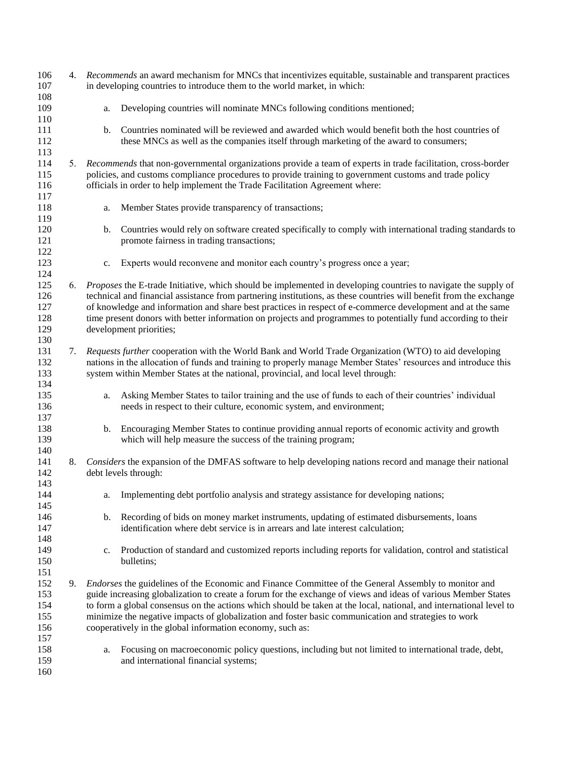| 106<br>107                             |    | 4. Recommends an award mechanism for MNCs that incentivizes equitable, sustainable and transparent practices<br>in developing countries to introduce them to the world market, in which:                                                                                                                                                                                                                                                                                                                         |  |
|----------------------------------------|----|------------------------------------------------------------------------------------------------------------------------------------------------------------------------------------------------------------------------------------------------------------------------------------------------------------------------------------------------------------------------------------------------------------------------------------------------------------------------------------------------------------------|--|
| 108<br>109                             |    | Developing countries will nominate MNCs following conditions mentioned;<br>a.                                                                                                                                                                                                                                                                                                                                                                                                                                    |  |
| 110<br>111<br>112<br>113               |    | Countries nominated will be reviewed and awarded which would benefit both the host countries of<br>$\mathbf{b}$ .<br>these MNCs as well as the companies itself through marketing of the award to consumers;                                                                                                                                                                                                                                                                                                     |  |
| 114<br>115<br>116                      | 5. | Recommends that non-governmental organizations provide a team of experts in trade facilitation, cross-border<br>policies, and customs compliance procedures to provide training to government customs and trade policy<br>officials in order to help implement the Trade Facilitation Agreement where:                                                                                                                                                                                                           |  |
| 117<br>118                             |    | Member States provide transparency of transactions;<br>a.                                                                                                                                                                                                                                                                                                                                                                                                                                                        |  |
| 119<br>120<br>121<br>122               |    | Countries would rely on software created specifically to comply with international trading standards to<br>b.<br>promote fairness in trading transactions;                                                                                                                                                                                                                                                                                                                                                       |  |
| 123<br>124                             |    | Experts would reconvene and monitor each country's progress once a year;<br>c.                                                                                                                                                                                                                                                                                                                                                                                                                                   |  |
| 125<br>126<br>127<br>128<br>129<br>130 | 6. | Proposes the E-trade Initiative, which should be implemented in developing countries to navigate the supply of<br>technical and financial assistance from partnering institutions, as these countries will benefit from the exchange<br>of knowledge and information and share best practices in respect of e-commerce development and at the same<br>time present donors with better information on projects and programmes to potentially fund according to their<br>development priorities;                   |  |
| 131<br>132<br>133<br>134               | 7. | Requests further cooperation with the World Bank and World Trade Organization (WTO) to aid developing<br>nations in the allocation of funds and training to properly manage Member States' resources and introduce this<br>system within Member States at the national, provincial, and local level through:                                                                                                                                                                                                     |  |
| 135<br>136<br>137                      |    | Asking Member States to tailor training and the use of funds to each of their countries' individual<br>a.<br>needs in respect to their culture, economic system, and environment;                                                                                                                                                                                                                                                                                                                                |  |
| 138<br>139                             |    | b. Encouraging Member States to continue providing annual reports of economic activity and growth<br>which will help measure the success of the training program;                                                                                                                                                                                                                                                                                                                                                |  |
| 140<br>141<br>142                      | 8. | Considers the expansion of the DMFAS software to help developing nations record and manage their national<br>debt levels through:                                                                                                                                                                                                                                                                                                                                                                                |  |
| 143<br>144<br>145                      |    | Implementing debt portfolio analysis and strategy assistance for developing nations;<br>a.                                                                                                                                                                                                                                                                                                                                                                                                                       |  |
| 146<br>147<br>148                      |    | Recording of bids on money market instruments, updating of estimated disbursements, loans<br>b.<br>identification where debt service is in arrears and late interest calculation;                                                                                                                                                                                                                                                                                                                                |  |
| 149<br>150<br>151                      |    | Production of standard and customized reports including reports for validation, control and statistical<br>c.<br>bulletins;                                                                                                                                                                                                                                                                                                                                                                                      |  |
| 152<br>153<br>154<br>155<br>156        | 9. | Endorses the guidelines of the Economic and Finance Committee of the General Assembly to monitor and<br>guide increasing globalization to create a forum for the exchange of views and ideas of various Member States<br>to form a global consensus on the actions which should be taken at the local, national, and international level to<br>minimize the negative impacts of globalization and foster basic communication and strategies to work<br>cooperatively in the global information economy, such as: |  |
| 157<br>158<br>159<br>160               |    | Focusing on macroeconomic policy questions, including but not limited to international trade, debt,<br>a.<br>and international financial systems;                                                                                                                                                                                                                                                                                                                                                                |  |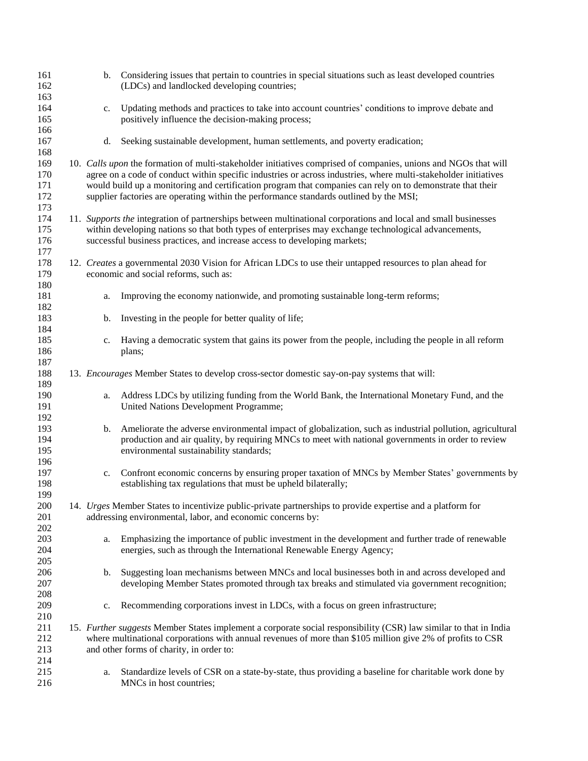| 161<br>162        |                                                                                                                                                                                                      | b. Considering issues that pertain to countries in special situations such as least developed countries<br>(LDCs) and landlocked developing countries; |  |
|-------------------|------------------------------------------------------------------------------------------------------------------------------------------------------------------------------------------------------|--------------------------------------------------------------------------------------------------------------------------------------------------------|--|
| 163<br>164<br>165 | c.                                                                                                                                                                                                   | Updating methods and practices to take into account countries' conditions to improve debate and<br>positively influence the decision-making process;   |  |
| 166<br>167<br>168 | d.                                                                                                                                                                                                   | Seeking sustainable development, human settlements, and poverty eradication;                                                                           |  |
| 169               |                                                                                                                                                                                                      | 10. Calls upon the formation of multi-stakeholder initiatives comprised of companies, unions and NGOs that will                                        |  |
| 170               |                                                                                                                                                                                                      | agree on a code of conduct within specific industries or across industries, where multi-stakeholder initiatives                                        |  |
| 171<br>172<br>173 | would build up a monitoring and certification program that companies can rely on to demonstrate that their<br>supplier factories are operating within the performance standards outlined by the MSI; |                                                                                                                                                        |  |
| 174               |                                                                                                                                                                                                      | 11. Supports the integration of partnerships between multinational corporations and local and small businesses                                         |  |
| 175               |                                                                                                                                                                                                      |                                                                                                                                                        |  |
| 176<br>177        | within developing nations so that both types of enterprises may exchange technological advancements,<br>successful business practices, and increase access to developing markets;                    |                                                                                                                                                        |  |
| 178               |                                                                                                                                                                                                      | 12. Creates a governmental 2030 Vision for African LDCs to use their untapped resources to plan ahead for                                              |  |
| 179<br>180        |                                                                                                                                                                                                      | economic and social reforms, such as:                                                                                                                  |  |
| 181<br>182        | a.                                                                                                                                                                                                   | Improving the economy nationwide, and promoting sustainable long-term reforms;                                                                         |  |
| 183               | b.                                                                                                                                                                                                   | Investing in the people for better quality of life;                                                                                                    |  |
| 184               |                                                                                                                                                                                                      |                                                                                                                                                        |  |
| 185               | c.                                                                                                                                                                                                   | Having a democratic system that gains its power from the people, including the people in all reform                                                    |  |
| 186               |                                                                                                                                                                                                      | plans;                                                                                                                                                 |  |
| 187               |                                                                                                                                                                                                      |                                                                                                                                                        |  |
| 188               |                                                                                                                                                                                                      | 13. Encourages Member States to develop cross-sector domestic say-on-pay systems that will:                                                            |  |
|                   |                                                                                                                                                                                                      |                                                                                                                                                        |  |
| 189               |                                                                                                                                                                                                      |                                                                                                                                                        |  |
| 190               | a.                                                                                                                                                                                                   | Address LDCs by utilizing funding from the World Bank, the International Monetary Fund, and the                                                        |  |
| 191               |                                                                                                                                                                                                      | United Nations Development Programme;                                                                                                                  |  |
| 192               |                                                                                                                                                                                                      |                                                                                                                                                        |  |
| 193               | b.                                                                                                                                                                                                   | Ameliorate the adverse environmental impact of globalization, such as industrial pollution, agricultural                                               |  |
| 194               |                                                                                                                                                                                                      | production and air quality, by requiring MNCs to meet with national governments in order to review                                                     |  |
| 195               |                                                                                                                                                                                                      | environmental sustainability standards;                                                                                                                |  |
| 196               |                                                                                                                                                                                                      |                                                                                                                                                        |  |
| 197               | c.                                                                                                                                                                                                   | Confront economic concerns by ensuring proper taxation of MNCs by Member States' governments by                                                        |  |
| 198               |                                                                                                                                                                                                      | establishing tax regulations that must be upheld bilaterally;                                                                                          |  |
| 199               |                                                                                                                                                                                                      |                                                                                                                                                        |  |
| 200               |                                                                                                                                                                                                      | 14. Urges Member States to incentivize public-private partnerships to provide expertise and a platform for                                             |  |
| 201               |                                                                                                                                                                                                      | addressing environmental, labor, and economic concerns by:                                                                                             |  |
| 202               |                                                                                                                                                                                                      |                                                                                                                                                        |  |
| 203               | a.                                                                                                                                                                                                   | Emphasizing the importance of public investment in the development and further trade of renewable                                                      |  |
| 204               |                                                                                                                                                                                                      | energies, such as through the International Renewable Energy Agency;                                                                                   |  |
| 205               |                                                                                                                                                                                                      |                                                                                                                                                        |  |
| 206               | b.                                                                                                                                                                                                   | Suggesting loan mechanisms between MNCs and local businesses both in and across developed and                                                          |  |
| 207               |                                                                                                                                                                                                      | developing Member States promoted through tax breaks and stimulated via government recognition;                                                        |  |
| 208               |                                                                                                                                                                                                      |                                                                                                                                                        |  |
| 209               | c.                                                                                                                                                                                                   | Recommending corporations invest in LDCs, with a focus on green infrastructure;                                                                        |  |
| 210               |                                                                                                                                                                                                      |                                                                                                                                                        |  |
| 211               |                                                                                                                                                                                                      | 15. Further suggests Member States implement a corporate social responsibility (CSR) law similar to that in India                                      |  |
| 212               |                                                                                                                                                                                                      | where multinational corporations with annual revenues of more than \$105 million give 2% of profits to CSR                                             |  |
| 213               |                                                                                                                                                                                                      | and other forms of charity, in order to:                                                                                                               |  |
| 214               |                                                                                                                                                                                                      |                                                                                                                                                        |  |
| 215               | a.                                                                                                                                                                                                   | Standardize levels of CSR on a state-by-state, thus providing a baseline for charitable work done by                                                   |  |
| 216               |                                                                                                                                                                                                      | MNCs in host countries;                                                                                                                                |  |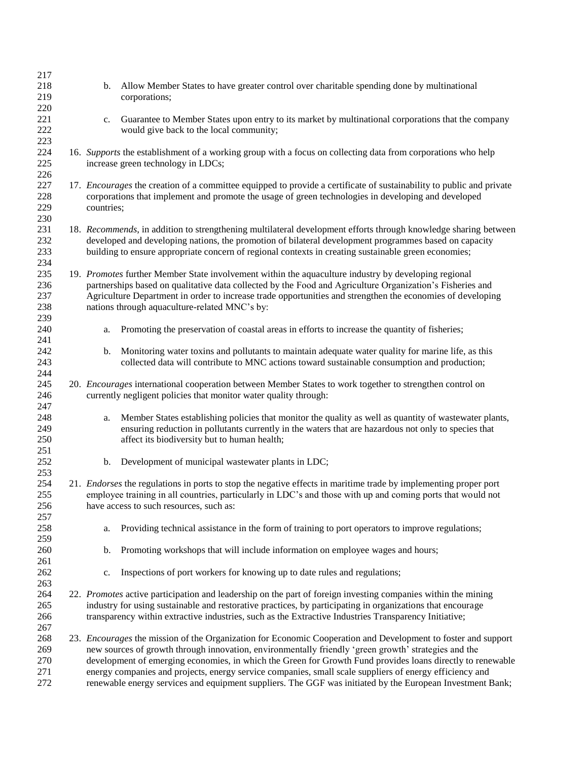| 217<br>218<br>219<br>220        | Allow Member States to have greater control over charitable spending done by multinational<br>b.<br>corporations;                                                                                                                                                                                                                                                                                                                                                                                                                                           |  |  |
|---------------------------------|-------------------------------------------------------------------------------------------------------------------------------------------------------------------------------------------------------------------------------------------------------------------------------------------------------------------------------------------------------------------------------------------------------------------------------------------------------------------------------------------------------------------------------------------------------------|--|--|
| 221<br>222<br>223               | Guarantee to Member States upon entry to its market by multinational corporations that the company<br>c.<br>would give back to the local community;                                                                                                                                                                                                                                                                                                                                                                                                         |  |  |
| 224<br>225<br>226               | 16. Supports the establishment of a working group with a focus on collecting data from corporations who help<br>increase green technology in LDCs;                                                                                                                                                                                                                                                                                                                                                                                                          |  |  |
| 227<br>228<br>229<br>230        | 17. <i>Encourages</i> the creation of a committee equipped to provide a certificate of sustainability to public and private<br>corporations that implement and promote the usage of green technologies in developing and developed<br>countries;                                                                                                                                                                                                                                                                                                            |  |  |
| 231<br>232<br>233<br>234        | 18. Recommends, in addition to strengthening multilateral development efforts through knowledge sharing between<br>developed and developing nations, the promotion of bilateral development programmes based on capacity<br>building to ensure appropriate concern of regional contexts in creating sustainable green economies;                                                                                                                                                                                                                            |  |  |
| 235<br>236<br>237<br>238<br>239 | 19. Promotes further Member State involvement within the aquaculture industry by developing regional<br>partnerships based on qualitative data collected by the Food and Agriculture Organization's Fisheries and<br>Agriculture Department in order to increase trade opportunities and strengthen the economies of developing<br>nations through aquaculture-related MNC's by:                                                                                                                                                                            |  |  |
| 240                             | Promoting the preservation of coastal areas in efforts to increase the quantity of fisheries;<br>a.                                                                                                                                                                                                                                                                                                                                                                                                                                                         |  |  |
| 241<br>242<br>243<br>244        | Monitoring water toxins and pollutants to maintain adequate water quality for marine life, as this<br>b.<br>collected data will contribute to MNC actions toward sustainable consumption and production;                                                                                                                                                                                                                                                                                                                                                    |  |  |
| 245<br>246<br>247               | 20. <i>Encourages</i> international cooperation between Member States to work together to strengthen control on<br>currently negligent policies that monitor water quality through:                                                                                                                                                                                                                                                                                                                                                                         |  |  |
| 248<br>249<br>250<br>251        | Member States establishing policies that monitor the quality as well as quantity of wastewater plants,<br>a.<br>ensuring reduction in pollutants currently in the waters that are hazardous not only to species that<br>affect its biodiversity but to human health;                                                                                                                                                                                                                                                                                        |  |  |
| 252<br>253                      | $\mathbf{b}$ .<br>Development of municipal wastewater plants in LDC;                                                                                                                                                                                                                                                                                                                                                                                                                                                                                        |  |  |
| 254<br>255<br>256<br>257        | 21. <i>Endorses</i> the regulations in ports to stop the negative effects in maritime trade by implementing proper port<br>employee training in all countries, particularly in LDC's and those with up and coming ports that would not<br>have access to such resources, such as:                                                                                                                                                                                                                                                                           |  |  |
| 258<br>259                      | Providing technical assistance in the form of training to port operators to improve regulations;<br>a.                                                                                                                                                                                                                                                                                                                                                                                                                                                      |  |  |
| 260<br>261                      | Promoting workshops that will include information on employee wages and hours;<br>b.                                                                                                                                                                                                                                                                                                                                                                                                                                                                        |  |  |
| 262<br>263                      | Inspections of port workers for knowing up to date rules and regulations;<br>c.                                                                                                                                                                                                                                                                                                                                                                                                                                                                             |  |  |
| 264<br>265<br>266<br>267        | 22. Promotes active participation and leadership on the part of foreign investing companies within the mining<br>industry for using sustainable and restorative practices, by participating in organizations that encourage<br>transparency within extractive industries, such as the Extractive Industries Transparency Initiative;                                                                                                                                                                                                                        |  |  |
| 268<br>269<br>270<br>271<br>272 | 23. Encourages the mission of the Organization for Economic Cooperation and Development to foster and support<br>new sources of growth through innovation, environmentally friendly 'green growth' strategies and the<br>development of emerging economies, in which the Green for Growth Fund provides loans directly to renewable<br>energy companies and projects, energy service companies, small scale suppliers of energy efficiency and<br>renewable energy services and equipment suppliers. The GGF was initiated by the European Investment Bank; |  |  |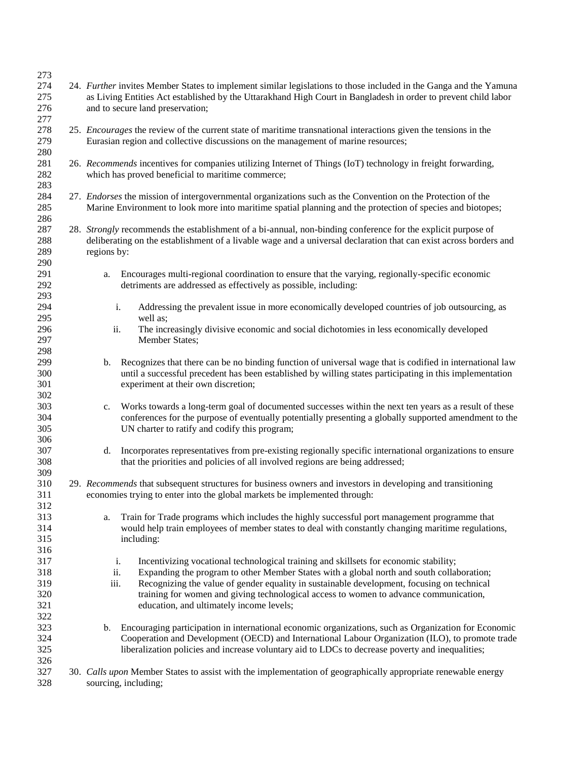| 273        |                                                                                                                                                                                                                                     |  |  |
|------------|-------------------------------------------------------------------------------------------------------------------------------------------------------------------------------------------------------------------------------------|--|--|
| 274<br>275 | 24. Further invites Member States to implement similar legislations to those included in the Ganga and the Yamuna<br>as Living Entities Act established by the Uttarakhand High Court in Bangladesh in order to prevent child labor |  |  |
| 276<br>277 | and to secure land preservation;                                                                                                                                                                                                    |  |  |
| 278<br>279 | 25. <i>Encourages</i> the review of the current state of maritime transnational interactions given the tensions in the<br>Eurasian region and collective discussions on the management of marine resources;                         |  |  |
| 280<br>281 | 26. Recommends incentives for companies utilizing Internet of Things (IoT) technology in freight forwarding,                                                                                                                        |  |  |
| 282        | which has proved beneficial to maritime commerce;                                                                                                                                                                                   |  |  |
| 283        |                                                                                                                                                                                                                                     |  |  |
| 284        | 27. Endorses the mission of intergovernmental organizations such as the Convention on the Protection of the                                                                                                                         |  |  |
| 285<br>286 | Marine Environment to look more into maritime spatial planning and the protection of species and biotopes;                                                                                                                          |  |  |
| 287        | 28. Strongly recommends the establishment of a bi-annual, non-binding conference for the explicit purpose of                                                                                                                        |  |  |
| 288<br>289 | deliberating on the establishment of a livable wage and a universal declaration that can exist across borders and<br>regions by:                                                                                                    |  |  |
| 290        |                                                                                                                                                                                                                                     |  |  |
| 291<br>292 | Encourages multi-regional coordination to ensure that the varying, regionally-specific economic<br>a.<br>detriments are addressed as effectively as possible, including:                                                            |  |  |
| 293        |                                                                                                                                                                                                                                     |  |  |
| 294        | i.<br>Addressing the prevalent issue in more economically developed countries of job outsourcing, as                                                                                                                                |  |  |
| 295        | well as;                                                                                                                                                                                                                            |  |  |
| 296        | The increasingly divisive economic and social dichotomies in less economically developed<br>ii.                                                                                                                                     |  |  |
| 297        | Member States;                                                                                                                                                                                                                      |  |  |
| 298<br>299 | Recognizes that there can be no binding function of universal wage that is codified in international law                                                                                                                            |  |  |
| 300        | b.<br>until a successful precedent has been established by willing states participating in this implementation                                                                                                                      |  |  |
| 301        | experiment at their own discretion;                                                                                                                                                                                                 |  |  |
| 302        |                                                                                                                                                                                                                                     |  |  |
| 303        | Works towards a long-term goal of documented successes within the next ten years as a result of these<br>c.                                                                                                                         |  |  |
| 304        | conferences for the purpose of eventually potentially presenting a globally supported amendment to the                                                                                                                              |  |  |
| 305        | UN charter to ratify and codify this program;                                                                                                                                                                                       |  |  |
| 306        |                                                                                                                                                                                                                                     |  |  |
| 307        | Incorporates representatives from pre-existing regionally specific international organizations to ensure<br>d.                                                                                                                      |  |  |
| 308<br>309 | that the priorities and policies of all involved regions are being addressed;                                                                                                                                                       |  |  |
| 310        | 29. Recommends that subsequent structures for business owners and investors in developing and transitioning                                                                                                                         |  |  |
| 311        | economies trying to enter into the global markets be implemented through:                                                                                                                                                           |  |  |
| 312        |                                                                                                                                                                                                                                     |  |  |
| 313        | Train for Trade programs which includes the highly successful port management programme that<br>a.                                                                                                                                  |  |  |
| 314        | would help train employees of member states to deal with constantly changing maritime regulations,                                                                                                                                  |  |  |
| 315        | including:                                                                                                                                                                                                                          |  |  |
| 316        |                                                                                                                                                                                                                                     |  |  |
| 317        | i.<br>Incentivizing vocational technological training and skillsets for economic stability;                                                                                                                                         |  |  |
| 318        | ii.<br>Expanding the program to other Member States with a global north and south collaboration;                                                                                                                                    |  |  |
| 319<br>320 | iii.<br>Recognizing the value of gender equality in sustainable development, focusing on technical<br>training for women and giving technological access to women to advance communication,                                         |  |  |
| 321        | education, and ultimately income levels;                                                                                                                                                                                            |  |  |
| 322        |                                                                                                                                                                                                                                     |  |  |
| 323        | Encouraging participation in international economic organizations, such as Organization for Economic<br>b.                                                                                                                          |  |  |
| 324        | Cooperation and Development (OECD) and International Labour Organization (ILO), to promote trade                                                                                                                                    |  |  |
| 325        | liberalization policies and increase voluntary aid to LDCs to decrease poverty and inequalities;                                                                                                                                    |  |  |
| 326        |                                                                                                                                                                                                                                     |  |  |
| 327        | 30. Calls upon Member States to assist with the implementation of geographically appropriate renewable energy                                                                                                                       |  |  |
| 328        | sourcing, including;                                                                                                                                                                                                                |  |  |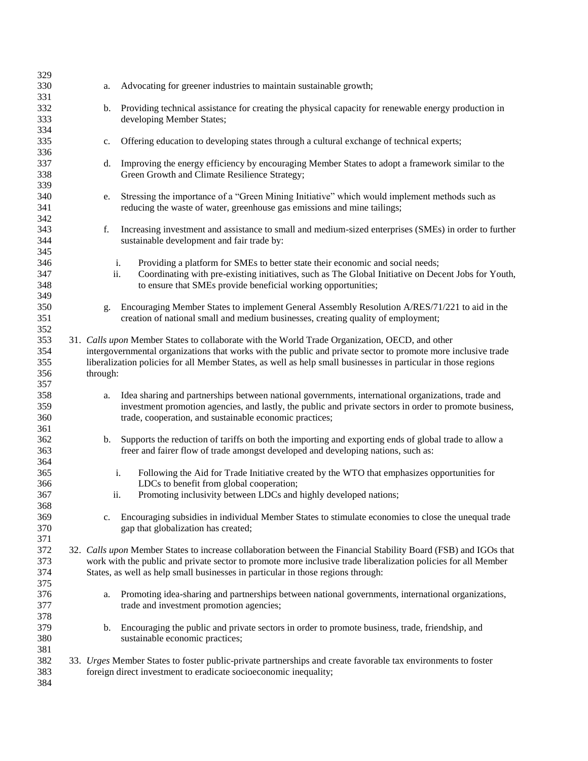| 329        |             |                                                                                                                                                |
|------------|-------------|------------------------------------------------------------------------------------------------------------------------------------------------|
| 330        | a.          | Advocating for greener industries to maintain sustainable growth;                                                                              |
| 331        |             |                                                                                                                                                |
| 332        | b.          | Providing technical assistance for creating the physical capacity for renewable energy production in                                           |
| 333        |             | developing Member States;                                                                                                                      |
| 334        |             |                                                                                                                                                |
| 335        | c.          | Offering education to developing states through a cultural exchange of technical experts;                                                      |
| 336        |             |                                                                                                                                                |
| 337        | d.          | Improving the energy efficiency by encouraging Member States to adopt a framework similar to the                                               |
| 338        |             | Green Growth and Climate Resilience Strategy;                                                                                                  |
| 339        |             |                                                                                                                                                |
| 340        | e.          | Stressing the importance of a "Green Mining Initiative" which would implement methods such as                                                  |
| 341        |             | reducing the waste of water, greenhouse gas emissions and mine tailings;                                                                       |
| 342        |             |                                                                                                                                                |
| 343        | f.          | Increasing investment and assistance to small and medium-sized enterprises (SMEs) in order to further                                          |
| 344        |             | sustainable development and fair trade by:                                                                                                     |
| 345        |             |                                                                                                                                                |
| 346        | i.          | Providing a platform for SMEs to better state their economic and social needs;                                                                 |
| 347        | ii.         | Coordinating with pre-existing initiatives, such as The Global Initiative on Decent Jobs for Youth,                                            |
| 348        |             | to ensure that SMEs provide beneficial working opportunities;                                                                                  |
| 349        |             |                                                                                                                                                |
| 350        | g.          | Encouraging Member States to implement General Assembly Resolution A/RES/71/221 to aid in the                                                  |
| 351        |             | creation of national small and medium businesses, creating quality of employment;                                                              |
| 352        |             |                                                                                                                                                |
| 353        |             | 31. Calls upon Member States to collaborate with the World Trade Organization, OECD, and other                                                 |
| 354        |             | intergovernmental organizations that works with the public and private sector to promote more inclusive trade                                  |
| 355        |             | liberalization policies for all Member States, as well as help small businesses in particular in those regions                                 |
| 356        | through:    |                                                                                                                                                |
| 357        |             |                                                                                                                                                |
| 358        | a.          | Idea sharing and partnerships between national governments, international organizations, trade and                                             |
| 359        |             | investment promotion agencies, and lastly, the public and private sectors in order to promote business,                                        |
| 360        |             | trade, cooperation, and sustainable economic practices;                                                                                        |
| 361        |             |                                                                                                                                                |
| 362        | b.          | Supports the reduction of tariffs on both the importing and exporting ends of global trade to allow a                                          |
| 363        |             | freer and fairer flow of trade amongst developed and developing nations, such as:                                                              |
| 364        |             |                                                                                                                                                |
| 365        |             | Following the Aid for Trade Initiative created by the WTO that emphasizes opportunities for<br>i.                                              |
| 366        |             | LDCs to benefit from global cooperation;                                                                                                       |
| 367        | ii.         | Promoting inclusivity between LDCs and highly developed nations;                                                                               |
| 368        |             |                                                                                                                                                |
| 369        | $c_{\cdot}$ | Encouraging subsidies in individual Member States to stimulate economies to close the unequal trade                                            |
| 370        |             | gap that globalization has created;                                                                                                            |
| 371        |             |                                                                                                                                                |
| 372<br>373 |             | 32. Calls upon Member States to increase collaboration between the Financial Stability Board (FSB) and IGOs that                               |
| 374        |             | work with the public and private sector to promote more inclusive trade liberalization policies for all Member                                 |
| 375        |             | States, as well as help small businesses in particular in those regions through:                                                               |
|            |             |                                                                                                                                                |
| 376<br>377 | a.          | Promoting idea-sharing and partnerships between national governments, international organizations,<br>trade and investment promotion agencies; |
| 378        |             |                                                                                                                                                |
| 379        | b.          | Encouraging the public and private sectors in order to promote business, trade, friendship, and                                                |
| 380        |             | sustainable economic practices;                                                                                                                |
| 381        |             |                                                                                                                                                |
| 382        |             | 33. Urges Member States to foster public-private partnerships and create favorable tax environments to foster                                  |
| 383        |             | foreign direct investment to eradicate socioeconomic inequality;                                                                               |
| 384        |             |                                                                                                                                                |
|            |             |                                                                                                                                                |